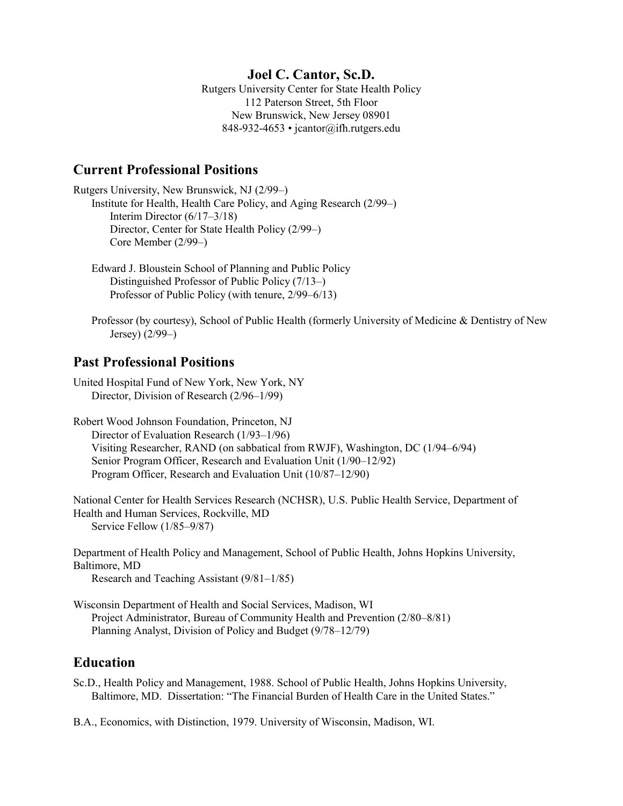## **Joel C. Cantor, Sc.D.**

Rutgers University Center for State Health Policy 112 Paterson Street, 5th Floor New Brunswick, New Jersey 08901 848-932-4653 • jcantor@ifh.rutgers.edu

## **Current Professional Positions**

Rutgers University, New Brunswick, NJ (2/99–) Institute for Health, Health Care Policy, and Aging Research (2/99–) Interim Director (6/17–3/18) Director, Center for State Health Policy (2/99–) Core Member (2/99–)

## **Past Professional Positions**

United Hospital Fund of New York, New York, NY Director, Division of Research (2/96–1/99)

Robert Wood Johnson Foundation, Princeton, NJ Director of Evaluation Research (1/93–1/96) Visiting Researcher, RAND (on sabbatical from RWJF), Washington, DC (1/94–6/94) Senior Program Officer, Research and Evaluation Unit (1/90–12/92) Program Officer, Research and Evaluation Unit (10/87–12/90)

National Center for Health Services Research (NCHSR), U.S. Public Health Service, Department of Health and Human Services, Rockville, MD Service Fellow (1/85–9/87)

Department of Health Policy and Management, School of Public Health, Johns Hopkins University, Baltimore, MD Research and Teaching Assistant (9/81–1/85)

Wisconsin Department of Health and Social Services, Madison, WI Project Administrator, Bureau of Community Health and Prevention (2/80–8/81) Planning Analyst, Division of Policy and Budget (9/78–12/79)

## **Education**

Sc.D., Health Policy and Management, 1988. School of Public Health, Johns Hopkins University, Baltimore, MD. Dissertation: "The Financial Burden of Health Care in the United States."

B.A., Economics, with Distinction, 1979. University of Wisconsin, Madison, WI.

Edward J. Bloustein School of Planning and Public Policy Distinguished Professor of Public Policy (7/13–) Professor of Public Policy (with tenure, 2/99–6/13)

Professor (by courtesy), School of Public Health (formerly University of Medicine & Dentistry of New Jersey) (2/99–)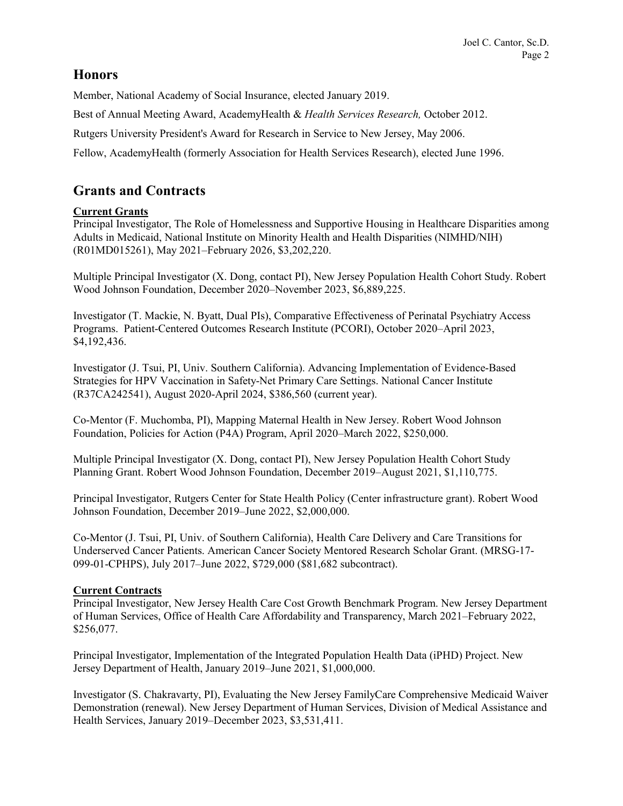# **Honors**

Member, National Academy of Social Insurance, elected January 2019.

Best of Annual Meeting Award, AcademyHealth & *Health Services Research,* October 2012.

Rutgers University President's Award for Research in Service to New Jersey, May 2006.

Fellow, AcademyHealth (formerly Association for Health Services Research), elected June 1996.

# **Grants and Contracts**

## **Current Grants**

Principal Investigator, The Role of Homelessness and Supportive Housing in Healthcare Disparities among Adults in Medicaid, National Institute on Minority Health and Health Disparities (NIMHD/NIH) (R01MD015261), May 2021–February 2026, \$3,202,220.

Multiple Principal Investigator (X. Dong, contact PI), New Jersey Population Health Cohort Study. Robert Wood Johnson Foundation, December 2020–November 2023, \$6,889,225.

Investigator (T. Mackie, N. Byatt, Dual PIs), Comparative Effectiveness of Perinatal Psychiatry Access Programs. Patient-Centered Outcomes Research Institute (PCORI), October 2020–April 2023, \$4,192,436.

Investigator (J. Tsui, PI, Univ. Southern California). Advancing Implementation of Evidence-Based Strategies for HPV Vaccination in Safety-Net Primary Care Settings. National Cancer Institute (R37CA242541), August 2020-April 2024, \$386,560 (current year).

Co-Mentor (F. Muchomba, PI), Mapping Maternal Health in New Jersey. Robert Wood Johnson Foundation, Policies for Action (P4A) Program, April 2020–March 2022, \$250,000.

Multiple Principal Investigator (X. Dong, contact PI), New Jersey Population Health Cohort Study Planning Grant. Robert Wood Johnson Foundation, December 2019–August 2021, \$1,110,775.

Principal Investigator, Rutgers Center for State Health Policy (Center infrastructure grant). Robert Wood Johnson Foundation, December 2019–June 2022, \$2,000,000.

Co-Mentor (J. Tsui, PI, Univ. of Southern California), Health Care Delivery and Care Transitions for Underserved Cancer Patients. American Cancer Society Mentored Research Scholar Grant. (MRSG-17- 099-01-CPHPS), July 2017–June 2022, \$729,000 (\$81,682 subcontract).

## **Current Contracts**

Principal Investigator, New Jersey Health Care Cost Growth Benchmark Program. New Jersey Department of Human Services, Office of Health Care Affordability and Transparency, March 2021–February 2022, \$256,077.

Principal Investigator, Implementation of the Integrated Population Health Data (iPHD) Project. New Jersey Department of Health, January 2019–June 2021, \$1,000,000.

Investigator (S. Chakravarty, PI), Evaluating the New Jersey FamilyCare Comprehensive Medicaid Waiver Demonstration (renewal). New Jersey Department of Human Services, Division of Medical Assistance and Health Services, January 2019–December 2023, \$3,531,411.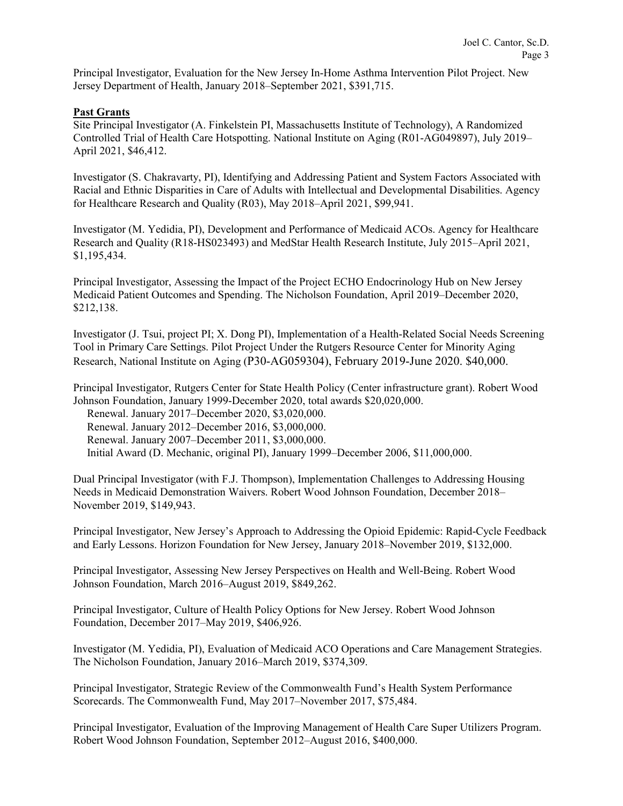Principal Investigator, Evaluation for the New Jersey In-Home Asthma Intervention Pilot Project. New Jersey Department of Health, January 2018–September 2021, \$391,715.

### **Past Grants**

Site Principal Investigator (A. Finkelstein PI, Massachusetts Institute of Technology), A Randomized Controlled Trial of Health Care Hotspotting. National Institute on Aging (R01-AG049897), July 2019– April 2021, \$46,412.

Investigator (S. Chakravarty, PI), Identifying and Addressing Patient and System Factors Associated with Racial and Ethnic Disparities in Care of Adults with Intellectual and Developmental Disabilities. Agency for Healthcare Research and Quality (R03), May 2018–April 2021, \$99,941.

Investigator (M. Yedidia, PI), Development and Performance of Medicaid ACOs. Agency for Healthcare Research and Quality (R18-HS023493) and MedStar Health Research Institute, July 2015–April 2021, \$1,195,434.

Principal Investigator, Assessing the Impact of the Project ECHO Endocrinology Hub on New Jersey Medicaid Patient Outcomes and Spending. The Nicholson Foundation, April 2019–December 2020, \$212,138.

Investigator (J. Tsui, project PI; X. Dong PI), Implementation of a Health-Related Social Needs Screening Tool in Primary Care Settings. Pilot Project Under the Rutgers Resource Center for Minority Aging Research, National Institute on Aging (P30-AG059304), February 2019-June 2020. \$40,000.

Principal Investigator, Rutgers Center for State Health Policy (Center infrastructure grant). Robert Wood Johnson Foundation, January 1999-December 2020, total awards \$20,020,000.

Renewal. January 2017–December 2020, \$3,020,000.

Renewal. January 2012–December 2016, \$3,000,000.

Renewal. January 2007–December 2011, \$3,000,000.

Initial Award (D. Mechanic, original PI), January 1999–December 2006, \$11,000,000.

Dual Principal Investigator (with F.J. Thompson), Implementation Challenges to Addressing Housing Needs in Medicaid Demonstration Waivers. Robert Wood Johnson Foundation, December 2018– November 2019, \$149,943.

Principal Investigator, New Jersey's Approach to Addressing the Opioid Epidemic: Rapid-Cycle Feedback and Early Lessons. Horizon Foundation for New Jersey, January 2018–November 2019, \$132,000.

Principal Investigator, Assessing New Jersey Perspectives on Health and Well-Being. Robert Wood Johnson Foundation, March 2016–August 2019, \$849,262.

Principal Investigator, Culture of Health Policy Options for New Jersey. Robert Wood Johnson Foundation, December 2017–May 2019, \$406,926.

Investigator (M. Yedidia, PI), Evaluation of Medicaid ACO Operations and Care Management Strategies. The Nicholson Foundation, January 2016–March 2019, \$374,309.

Principal Investigator, Strategic Review of the Commonwealth Fund's Health System Performance Scorecards. The Commonwealth Fund, May 2017–November 2017, \$75,484.

Principal Investigator, Evaluation of the Improving Management of Health Care Super Utilizers Program. Robert Wood Johnson Foundation, September 2012–August 2016, \$400,000.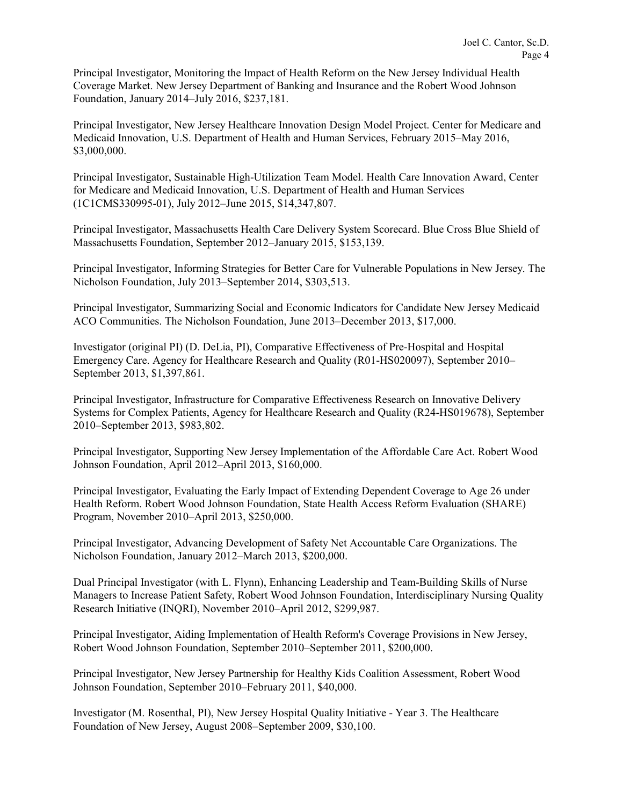Principal Investigator, Monitoring the Impact of Health Reform on the New Jersey Individual Health Coverage Market. New Jersey Department of Banking and Insurance and the Robert Wood Johnson Foundation, January 2014–July 2016, \$237,181.

Principal Investigator, New Jersey Healthcare Innovation Design Model Project. Center for Medicare and Medicaid Innovation, U.S. Department of Health and Human Services, February 2015–May 2016, \$3,000,000.

Principal Investigator, Sustainable High-Utilization Team Model. Health Care Innovation Award, Center for Medicare and Medicaid Innovation, U.S. Department of Health and Human Services (1C1CMS330995-01), July 2012–June 2015, \$14,347,807.

Principal Investigator, Massachusetts Health Care Delivery System Scorecard. Blue Cross Blue Shield of Massachusetts Foundation, September 2012–January 2015, \$153,139.

Principal Investigator, Informing Strategies for Better Care for Vulnerable Populations in New Jersey. The Nicholson Foundation, July 2013–September 2014, \$303,513.

Principal Investigator, Summarizing Social and Economic Indicators for Candidate New Jersey Medicaid ACO Communities. The Nicholson Foundation, June 2013–December 2013, \$17,000.

Investigator (original PI) (D. DeLia, PI), Comparative Effectiveness of Pre-Hospital and Hospital Emergency Care. Agency for Healthcare Research and Quality (R01-HS020097), September 2010– September 2013, \$1,397,861.

Principal Investigator, Infrastructure for Comparative Effectiveness Research on Innovative Delivery Systems for Complex Patients, Agency for Healthcare Research and Quality (R24-HS019678), September 2010–September 2013, \$983,802.

Principal Investigator, Supporting New Jersey Implementation of the Affordable Care Act. Robert Wood Johnson Foundation, April 2012–April 2013, \$160,000.

Principal Investigator, Evaluating the Early Impact of Extending Dependent Coverage to Age 26 under Health Reform. Robert Wood Johnson Foundation, State Health Access Reform Evaluation (SHARE) Program, November 2010–April 2013, \$250,000.

Principal Investigator, Advancing Development of Safety Net Accountable Care Organizations. The Nicholson Foundation, January 2012–March 2013, \$200,000.

Dual Principal Investigator (with L. Flynn), Enhancing Leadership and Team-Building Skills of Nurse Managers to Increase Patient Safety, Robert Wood Johnson Foundation, Interdisciplinary Nursing Quality Research Initiative (INQRI), November 2010–April 2012, \$299,987.

Principal Investigator, Aiding Implementation of Health Reform's Coverage Provisions in New Jersey, Robert Wood Johnson Foundation, September 2010–September 2011, \$200,000.

Principal Investigator, New Jersey Partnership for Healthy Kids Coalition Assessment, Robert Wood Johnson Foundation, September 2010–February 2011, \$40,000.

Investigator (M. Rosenthal, PI), New Jersey Hospital Quality Initiative - Year 3. The Healthcare Foundation of New Jersey, August 2008–September 2009, \$30,100.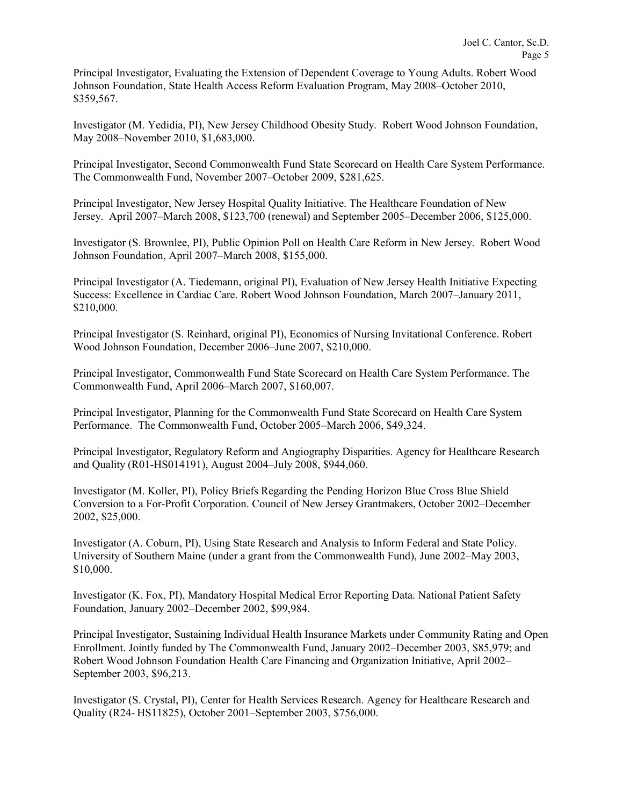Principal Investigator, Evaluating the Extension of Dependent Coverage to Young Adults. Robert Wood Johnson Foundation, State Health Access Reform Evaluation Program, May 2008–October 2010, \$359,567.

Investigator (M. Yedidia, PI), New Jersey Childhood Obesity Study. Robert Wood Johnson Foundation, May 2008–November 2010, \$1,683,000.

Principal Investigator, Second Commonwealth Fund State Scorecard on Health Care System Performance. The Commonwealth Fund, November 2007–October 2009, \$281,625.

Principal Investigator, New Jersey Hospital Quality Initiative. The Healthcare Foundation of New Jersey. April 2007–March 2008, \$123,700 (renewal) and September 2005–December 2006, \$125,000.

Investigator (S. Brownlee, PI), Public Opinion Poll on Health Care Reform in New Jersey. Robert Wood Johnson Foundation, April 2007–March 2008, \$155,000.

Principal Investigator (A. Tiedemann, original PI), Evaluation of New Jersey Health Initiative Expecting Success: Excellence in Cardiac Care. Robert Wood Johnson Foundation, March 2007–January 2011, \$210,000.

Principal Investigator (S. Reinhard, original PI), Economics of Nursing Invitational Conference. Robert Wood Johnson Foundation, December 2006–June 2007, \$210,000.

Principal Investigator, Commonwealth Fund State Scorecard on Health Care System Performance. The Commonwealth Fund, April 2006–March 2007, \$160,007.

Principal Investigator, Planning for the Commonwealth Fund State Scorecard on Health Care System Performance. The Commonwealth Fund, October 2005–March 2006, \$49,324.

Principal Investigator, Regulatory Reform and Angiography Disparities. Agency for Healthcare Research and Quality (R01-HS014191), August 2004–July 2008, \$944,060.

Investigator (M. Koller, PI), Policy Briefs Regarding the Pending Horizon Blue Cross Blue Shield Conversion to a For-Profit Corporation. Council of New Jersey Grantmakers, October 2002–December 2002, \$25,000.

Investigator (A. Coburn, PI), Using State Research and Analysis to Inform Federal and State Policy. University of Southern Maine (under a grant from the Commonwealth Fund), June 2002–May 2003, \$10,000.

Investigator (K. Fox, PI), Mandatory Hospital Medical Error Reporting Data. National Patient Safety Foundation, January 2002–December 2002, \$99,984.

Principal Investigator, Sustaining Individual Health Insurance Markets under Community Rating and Open Enrollment. Jointly funded by The Commonwealth Fund, January 2002–December 2003, \$85,979; and Robert Wood Johnson Foundation Health Care Financing and Organization Initiative, April 2002– September 2003, \$96,213.

Investigator (S. Crystal, PI), Center for Health Services Research. Agency for Healthcare Research and Quality (R24- HS11825), October 2001–September 2003, \$756,000.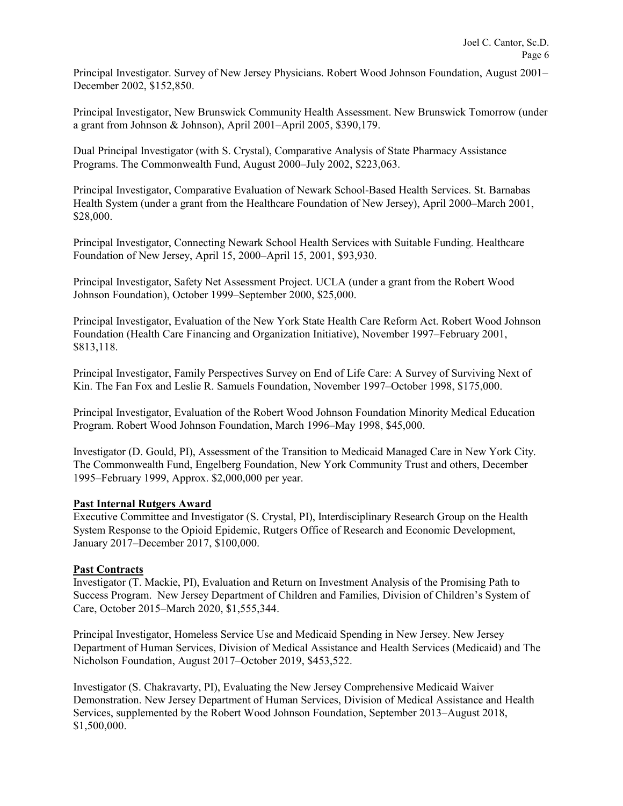Principal Investigator. Survey of New Jersey Physicians. Robert Wood Johnson Foundation, August 2001– December 2002, \$152,850.

Principal Investigator, New Brunswick Community Health Assessment. New Brunswick Tomorrow (under a grant from Johnson & Johnson), April 2001–April 2005, \$390,179.

Dual Principal Investigator (with S. Crystal), Comparative Analysis of State Pharmacy Assistance Programs. The Commonwealth Fund, August 2000–July 2002, \$223,063.

Principal Investigator, Comparative Evaluation of Newark School-Based Health Services. St. Barnabas Health System (under a grant from the Healthcare Foundation of New Jersey), April 2000–March 2001, \$28,000.

Principal Investigator, Connecting Newark School Health Services with Suitable Funding. Healthcare Foundation of New Jersey, April 15, 2000–April 15, 2001, \$93,930.

Principal Investigator, Safety Net Assessment Project. UCLA (under a grant from the Robert Wood Johnson Foundation), October 1999–September 2000, \$25,000.

Principal Investigator, Evaluation of the New York State Health Care Reform Act. Robert Wood Johnson Foundation (Health Care Financing and Organization Initiative), November 1997–February 2001, \$813,118.

Principal Investigator, Family Perspectives Survey on End of Life Care: A Survey of Surviving Next of Kin. The Fan Fox and Leslie R. Samuels Foundation, November 1997–October 1998, \$175,000.

Principal Investigator, Evaluation of the Robert Wood Johnson Foundation Minority Medical Education Program. Robert Wood Johnson Foundation, March 1996–May 1998, \$45,000.

Investigator (D. Gould, PI), Assessment of the Transition to Medicaid Managed Care in New York City. The Commonwealth Fund, Engelberg Foundation, New York Community Trust and others, December 1995–February 1999, Approx. \$2,000,000 per year.

### **Past Internal Rutgers Award**

Executive Committee and Investigator (S. Crystal, PI), Interdisciplinary Research Group on the Health System Response to the Opioid Epidemic, Rutgers Office of Research and Economic Development, January 2017–December 2017, \$100,000.

#### **Past Contracts**

Investigator (T. Mackie, PI), Evaluation and Return on Investment Analysis of the Promising Path to Success Program. New Jersey Department of Children and Families, Division of Children's System of Care, October 2015–March 2020, \$1,555,344.

Principal Investigator, Homeless Service Use and Medicaid Spending in New Jersey. New Jersey Department of Human Services, Division of Medical Assistance and Health Services (Medicaid) and The Nicholson Foundation, August 2017–October 2019, \$453,522.

Investigator (S. Chakravarty, PI), Evaluating the New Jersey Comprehensive Medicaid Waiver Demonstration. New Jersey Department of Human Services, Division of Medical Assistance and Health Services, supplemented by the Robert Wood Johnson Foundation, September 2013–August 2018, \$1,500,000.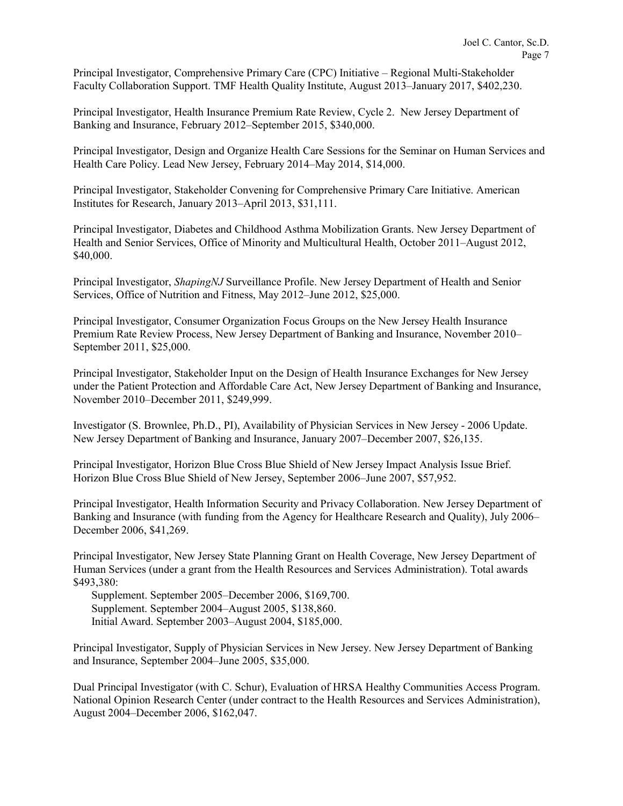Principal Investigator, Comprehensive Primary Care (CPC) Initiative – Regional Multi-Stakeholder Faculty Collaboration Support. TMF Health Quality Institute, August 2013–January 2017, \$402,230.

Principal Investigator, Health Insurance Premium Rate Review, Cycle 2. New Jersey Department of Banking and Insurance, February 2012–September 2015, \$340,000.

Principal Investigator, Design and Organize Health Care Sessions for the Seminar on Human Services and Health Care Policy. Lead New Jersey, February 2014–May 2014, \$14,000.

Principal Investigator, Stakeholder Convening for Comprehensive Primary Care Initiative. American Institutes for Research, January 2013–April 2013, \$31,111.

Principal Investigator, Diabetes and Childhood Asthma Mobilization Grants. New Jersey Department of Health and Senior Services, Office of Minority and Multicultural Health, October 2011–August 2012, \$40,000.

Principal Investigator, *ShapingNJ* Surveillance Profile. New Jersey Department of Health and Senior Services, Office of Nutrition and Fitness, May 2012–June 2012, \$25,000.

Principal Investigator, Consumer Organization Focus Groups on the New Jersey Health Insurance Premium Rate Review Process, New Jersey Department of Banking and Insurance, November 2010– September 2011, \$25,000.

Principal Investigator, Stakeholder Input on the Design of Health Insurance Exchanges for New Jersey under the Patient Protection and Affordable Care Act, New Jersey Department of Banking and Insurance, November 2010–December 2011, \$249,999.

Investigator (S. Brownlee, Ph.D., PI), Availability of Physician Services in New Jersey - 2006 Update. New Jersey Department of Banking and Insurance, January 2007–December 2007, \$26,135.

Principal Investigator, Horizon Blue Cross Blue Shield of New Jersey Impact Analysis Issue Brief. Horizon Blue Cross Blue Shield of New Jersey, September 2006–June 2007, \$57,952.

Principal Investigator, Health Information Security and Privacy Collaboration. New Jersey Department of Banking and Insurance (with funding from the Agency for Healthcare Research and Quality), July 2006– December 2006, \$41,269.

Principal Investigator, New Jersey State Planning Grant on Health Coverage, New Jersey Department of Human Services (under a grant from the Health Resources and Services Administration). Total awards \$493,380:

Supplement. September 2005–December 2006, \$169,700. Supplement. September 2004–August 2005, \$138,860. Initial Award. September 2003–August 2004, \$185,000.

Principal Investigator, Supply of Physician Services in New Jersey. New Jersey Department of Banking and Insurance, September 2004–June 2005, \$35,000.

Dual Principal Investigator (with C. Schur), Evaluation of HRSA Healthy Communities Access Program. National Opinion Research Center (under contract to the Health Resources and Services Administration), August 2004–December 2006, \$162,047.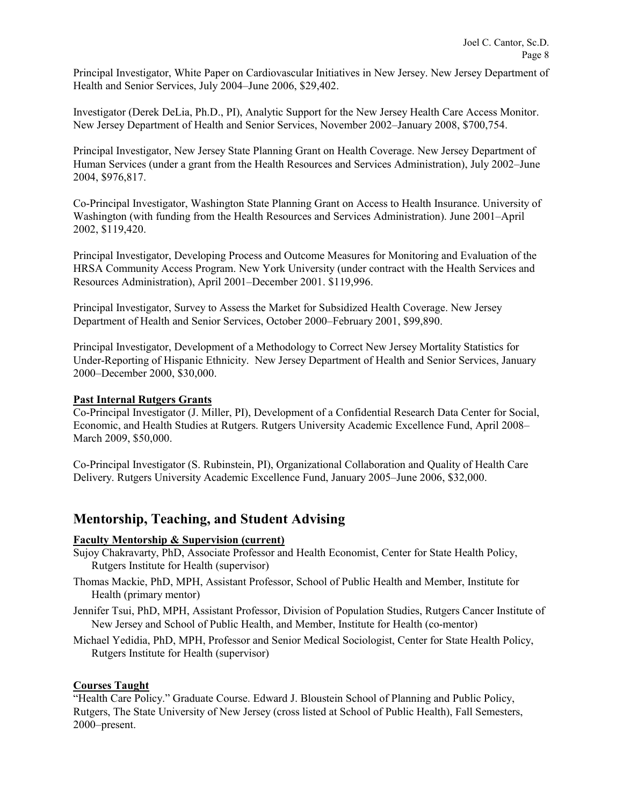Principal Investigator, White Paper on Cardiovascular Initiatives in New Jersey. New Jersey Department of Health and Senior Services, July 2004–June 2006, \$29,402.

Investigator (Derek DeLia, Ph.D., PI), Analytic Support for the New Jersey Health Care Access Monitor. New Jersey Department of Health and Senior Services, November 2002–January 2008, \$700,754.

Principal Investigator, New Jersey State Planning Grant on Health Coverage. New Jersey Department of Human Services (under a grant from the Health Resources and Services Administration), July 2002–June 2004, \$976,817.

Co-Principal Investigator, Washington State Planning Grant on Access to Health Insurance. University of Washington (with funding from the Health Resources and Services Administration). June 2001–April 2002, \$119,420.

Principal Investigator, Developing Process and Outcome Measures for Monitoring and Evaluation of the HRSA Community Access Program. New York University (under contract with the Health Services and Resources Administration), April 2001–December 2001. \$119,996.

Principal Investigator, Survey to Assess the Market for Subsidized Health Coverage. New Jersey Department of Health and Senior Services, October 2000–February 2001, \$99,890.

Principal Investigator, Development of a Methodology to Correct New Jersey Mortality Statistics for Under-Reporting of Hispanic Ethnicity. New Jersey Department of Health and Senior Services, January 2000–December 2000, \$30,000.

### **Past Internal Rutgers Grants**

Co-Principal Investigator (J. Miller, PI), Development of a Confidential Research Data Center for Social, Economic, and Health Studies at Rutgers. Rutgers University Academic Excellence Fund, April 2008– March 2009, \$50,000.

Co-Principal Investigator (S. Rubinstein, PI), Organizational Collaboration and Quality of Health Care Delivery. Rutgers University Academic Excellence Fund, January 2005–June 2006, \$32,000.

## **Mentorship, Teaching, and Student Advising**

### **Faculty Mentorship & Supervision (current)**

- Sujoy Chakravarty, PhD, Associate Professor and Health Economist, Center for State Health Policy, Rutgers Institute for Health (supervisor)
- Thomas Mackie, PhD, MPH, Assistant Professor, School of Public Health and Member, Institute for Health (primary mentor)
- Jennifer Tsui, PhD, MPH, Assistant Professor, Division of Population Studies, Rutgers Cancer Institute of New Jersey and School of Public Health, and Member, Institute for Health (co-mentor)
- Michael Yedidia, PhD, MPH, Professor and Senior Medical Sociologist, Center for State Health Policy, Rutgers Institute for Health (supervisor)

### **Courses Taught**

"Health Care Policy." Graduate Course. Edward J. Bloustein School of Planning and Public Policy, Rutgers, The State University of New Jersey (cross listed at School of Public Health), Fall Semesters, 2000–present.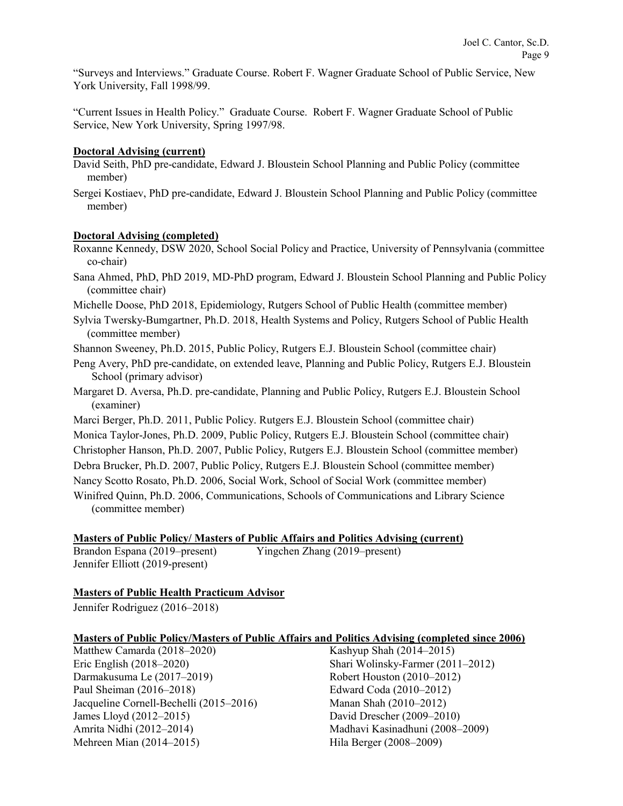"Surveys and Interviews." Graduate Course. Robert F. Wagner Graduate School of Public Service, New York University, Fall 1998/99.

"Current Issues in Health Policy." Graduate Course. Robert F. Wagner Graduate School of Public Service, New York University, Spring 1997/98.

### **Doctoral Advising (current)**

- David Seith, PhD pre-candidate, Edward J. Bloustein School Planning and Public Policy (committee member)
- Sergei Kostiaev, PhD pre-candidate, Edward J. Bloustein School Planning and Public Policy (committee member)

### **Doctoral Advising (completed)**

- Roxanne Kennedy, DSW 2020, School Social Policy and Practice, University of Pennsylvania (committee co-chair)
- Sana Ahmed, PhD, PhD 2019, MD-PhD program, Edward J. Bloustein School Planning and Public Policy (committee chair)
- Michelle Doose, PhD 2018, Epidemiology, Rutgers School of Public Health (committee member)
- Sylvia Twersky-Bumgartner, Ph.D. 2018, Health Systems and Policy, Rutgers School of Public Health (committee member)
- Shannon Sweeney, Ph.D. 2015, Public Policy, Rutgers E.J. Bloustein School (committee chair)
- Peng Avery, PhD pre-candidate, on extended leave, Planning and Public Policy, Rutgers E.J. Bloustein School (primary advisor)
- Margaret D. Aversa, Ph.D. pre-candidate, Planning and Public Policy, Rutgers E.J. Bloustein School (examiner)
- Marci Berger, Ph.D. 2011, Public Policy. Rutgers E.J. Bloustein School (committee chair)
- Monica Taylor-Jones, Ph.D. 2009, Public Policy, Rutgers E.J. Bloustein School (committee chair)
- Christopher Hanson, Ph.D. 2007, Public Policy, Rutgers E.J. Bloustein School (committee member)
- Debra Brucker, Ph.D. 2007, Public Policy, Rutgers E.J. Bloustein School (committee member)
- Nancy Scotto Rosato, Ph.D. 2006, Social Work, School of Social Work (committee member)

Winifred Quinn, Ph.D. 2006, Communications, Schools of Communications and Library Science (committee member)

### **Masters of Public Policy/ Masters of Public Affairs and Politics Advising (current)**

Jennifer Elliott (2019-present)

Brandon Espana (2019–present) Yingchen Zhang (2019–present)

### **Masters of Public Health Practicum Advisor**

Jennifer Rodriguez (2016–2018)

### **Masters of Public Policy/Masters of Public Affairs and Politics Advising (completed since 2006)**

Matthew Camarda (2018–2020) Eric English (2018–2020) Darmakusuma Le (2017–2019) Paul Sheiman (2016–2018) Jacqueline Cornell-Bechelli (2015–2016) James Lloyd (2012–2015) Amrita Nidhi (2012–2014) Mehreen Mian (2014–2015)

Kashyup Shah (2014–2015) Shari Wolinsky-Farmer (2011–2012) Robert Houston (2010–2012) Edward Coda (2010–2012) Manan Shah (2010–2012) David Drescher (2009–2010) Madhavi Kasinadhuni (2008–2009) Hila Berger (2008–2009)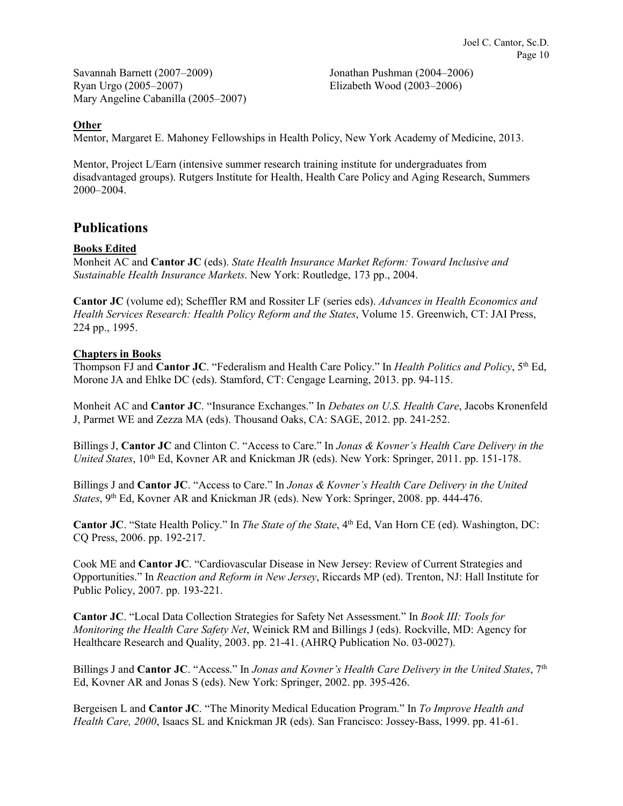Savannah Barnett (2007–2009) Ryan Urgo (2005–2007) Mary Angeline Cabanilla (2005–2007)

Jonathan Pushman (2004–2006) Elizabeth Wood (2003–2006)

### **Other**

Mentor, Margaret E. Mahoney Fellowships in Health Policy, New York Academy of Medicine, 2013.

Mentor, Project L/Earn (intensive summer research training institute for undergraduates from disadvantaged groups). Rutgers Institute for Health, Health Care Policy and Aging Research, Summers 2000–2004.

# **Publications**

### **Books Edited**

Monheit AC and **Cantor JC** (eds). *State Health Insurance Market Reform: Toward Inclusive and Sustainable Health Insurance Markets*. New York: Routledge, 173 pp., 2004.

**Cantor JC** (volume ed); Scheffler RM and Rossiter LF (series eds). *Advances in Health Economics and Health Services Research: Health Policy Reform and the States*, Volume 15. Greenwich, CT: JAI Press, 224 pp., 1995.

### **Chapters in Books**

Thompson FJ and **Cantor JC**. "Federalism and Health Care Policy." In *Health Politics and Policy*, 5th Ed, Morone JA and Ehlke DC (eds). Stamford, CT: Cengage Learning, 2013. pp. 94-115.

Monheit AC and **Cantor JC**. "Insurance Exchanges." In *Debates on U.S. Health Care*, Jacobs Kronenfeld J, Parmet WE and Zezza MA (eds). Thousand Oaks, CA: SAGE, 2012. pp. 241-252.

Billings J, **Cantor JC** and Clinton C. "Access to Care." In *Jonas & Kovner's Health Care Delivery in the United States*, 10<sup>th</sup> Ed, Kovner AR and Knickman JR (eds). New York: Springer, 2011. pp. 151-178.

Billings J and **Cantor JC**. "Access to Care." In *Jonas & Kovner's Health Care Delivery in the United States*, 9th Ed, Kovner AR and Knickman JR (eds). New York: Springer, 2008. pp. 444-476.

**Cantor JC**. "State Health Policy." In *The State of the State*, 4<sup>th</sup> Ed, Van Horn CE (ed). Washington, DC: CQ Press, 2006. pp. 192-217.

Cook ME and **Cantor JC**. "Cardiovascular Disease in New Jersey: Review of Current Strategies and Opportunities." In *Reaction and Reform in New Jersey*, Riccards MP (ed). Trenton, NJ: Hall Institute for Public Policy, 2007. pp. 193-221.

**Cantor JC**. "Local Data Collection Strategies for Safety Net Assessment." In *Book III: Tools for Monitoring the Health Care Safety Net*, Weinick RM and Billings J (eds). Rockville, MD: Agency for Healthcare Research and Quality, 2003. pp. 21-41. (AHRQ Publication No. 03-0027).

Billings J and **Cantor JC**. "Access." In *Jonas and Kovner's Health Care Delivery in the United States*, 7th Ed, Kovner AR and Jonas S (eds). New York: Springer, 2002. pp. 395-426.

Bergeisen L and **Cantor JC**. "The Minority Medical Education Program." In *To Improve Health and Health Care, 2000*, Isaacs SL and Knickman JR (eds). San Francisco: Jossey-Bass, 1999. pp. 41-61.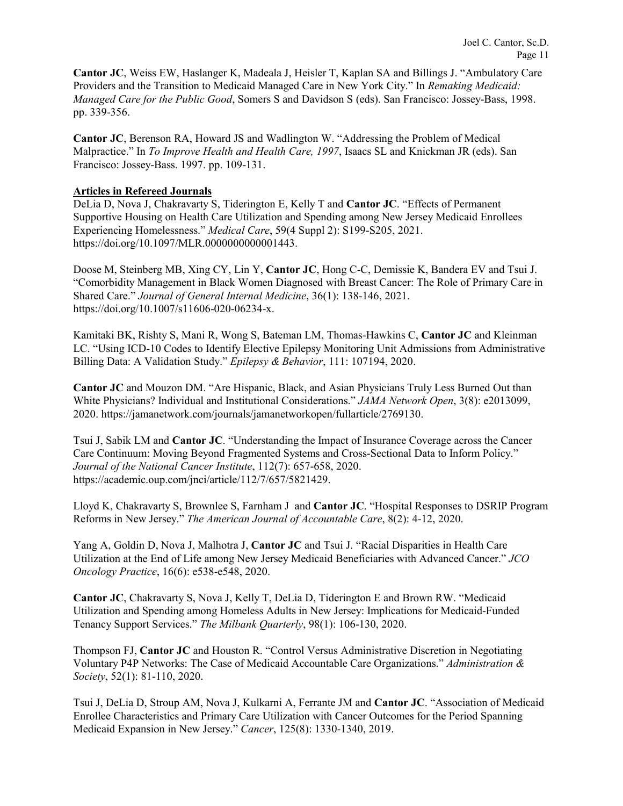**Cantor JC**, Weiss EW, Haslanger K, Madeala J, Heisler T, Kaplan SA and Billings J. "Ambulatory Care Providers and the Transition to Medicaid Managed Care in New York City." In *Remaking Medicaid: Managed Care for the Public Good*, Somers S and Davidson S (eds). San Francisco: Jossey-Bass, 1998. pp. 339-356.

**Cantor JC**, Berenson RA, Howard JS and Wadlington W. "Addressing the Problem of Medical Malpractice." In *To Improve Health and Health Care, 1997*, Isaacs SL and Knickman JR (eds). San Francisco: Jossey-Bass. 1997. pp. 109-131.

### **Articles in Refereed Journals**

DeLia D, Nova J, Chakravarty S, Tiderington E, Kelly T and **Cantor JC**. "Effects of Permanent Supportive Housing on Health Care Utilization and Spending among New Jersey Medicaid Enrollees Experiencing Homelessness." *Medical Care*, 59(4 Suppl 2): S199-S205, 2021. https://doi.org/10.1097/MLR.0000000000001443.

Doose M, Steinberg MB, Xing CY, Lin Y, **Cantor JC**, Hong C-C, Demissie K, Bandera EV and Tsui J. "Comorbidity Management in Black Women Diagnosed with Breast Cancer: The Role of Primary Care in Shared Care." *Journal of General Internal Medicine*, 36(1): 138-146, 2021. https://doi.org/10.1007/s11606-020-06234-x.

Kamitaki BK, Rishty S, Mani R, Wong S, Bateman LM, Thomas-Hawkins C, **Cantor JC** and Kleinman LC. "Using ICD-10 Codes to Identify Elective Epilepsy Monitoring Unit Admissions from Administrative Billing Data: A Validation Study." *Epilepsy & Behavior*, 111: 107194, 2020.

**Cantor JC** and Mouzon DM. "Are Hispanic, Black, and Asian Physicians Truly Less Burned Out than White Physicians? Individual and Institutional Considerations." *JAMA Network Open*, 3(8): e2013099, 2020. https://jamanetwork.com/journals/jamanetworkopen/fullarticle/2769130.

Tsui J, Sabik LM and **Cantor JC**. "Understanding the Impact of Insurance Coverage across the Cancer Care Continuum: Moving Beyond Fragmented Systems and Cross-Sectional Data to Inform Policy." *Journal of the National Cancer Institute*, 112(7): 657-658, 2020. https://academic.oup.com/jnci/article/112/7/657/5821429.

Lloyd K, Chakravarty S, Brownlee S, Farnham J and **Cantor JC**. "Hospital Responses to DSRIP Program Reforms in New Jersey." *The American Journal of Accountable Care*, 8(2): 4-12, 2020.

Yang A, Goldin D, Nova J, Malhotra J, **Cantor JC** and Tsui J. "Racial Disparities in Health Care Utilization at the End of Life among New Jersey Medicaid Beneficiaries with Advanced Cancer." *JCO Oncology Practice*, 16(6): e538-e548, 2020.

**Cantor JC**, Chakravarty S, Nova J, Kelly T, DeLia D, Tiderington E and Brown RW. "Medicaid Utilization and Spending among Homeless Adults in New Jersey: Implications for Medicaid-Funded Tenancy Support Services." *The Milbank Quarterly*, 98(1): 106-130, 2020.

Thompson FJ, **Cantor JC** and Houston R. "Control Versus Administrative Discretion in Negotiating Voluntary P4P Networks: The Case of Medicaid Accountable Care Organizations." *Administration & Society*, 52(1): 81-110, 2020.

Tsui J, DeLia D, Stroup AM, Nova J, Kulkarni A, Ferrante JM and **Cantor JC**. "Association of Medicaid Enrollee Characteristics and Primary Care Utilization with Cancer Outcomes for the Period Spanning Medicaid Expansion in New Jersey." *Cancer*, 125(8): 1330-1340, 2019.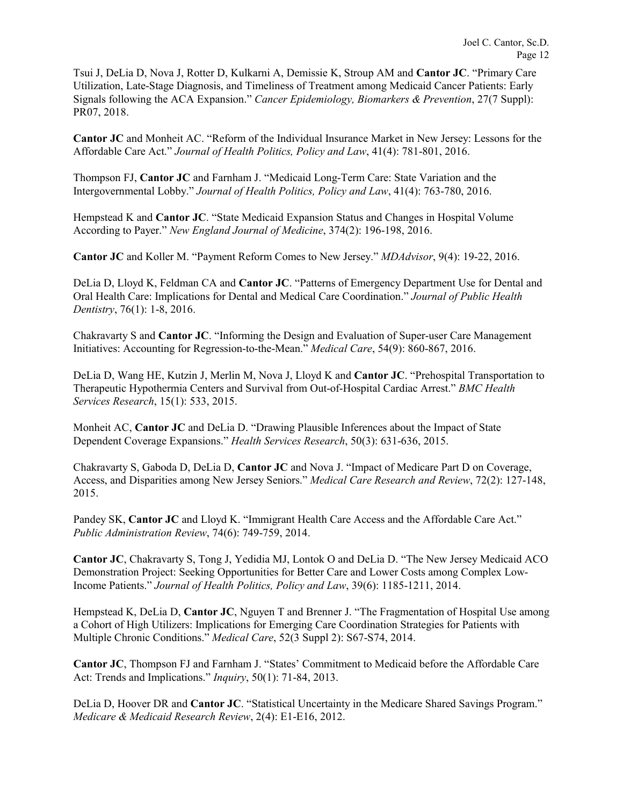Tsui J, DeLia D, Nova J, Rotter D, Kulkarni A, Demissie K, Stroup AM and **Cantor JC**. "Primary Care Utilization, Late-Stage Diagnosis, and Timeliness of Treatment among Medicaid Cancer Patients: Early Signals following the ACA Expansion." *Cancer Epidemiology, Biomarkers & Prevention*, 27(7 Suppl): PR07, 2018.

**Cantor JC** and Monheit AC. "Reform of the Individual Insurance Market in New Jersey: Lessons for the Affordable Care Act." *Journal of Health Politics, Policy and Law*, 41(4): 781-801, 2016.

Thompson FJ, **Cantor JC** and Farnham J. "Medicaid Long-Term Care: State Variation and the Intergovernmental Lobby." *Journal of Health Politics, Policy and Law*, 41(4): 763-780, 2016.

Hempstead K and **Cantor JC**. "State Medicaid Expansion Status and Changes in Hospital Volume According to Payer." *New England Journal of Medicine*, 374(2): 196-198, 2016.

**Cantor JC** and Koller M. "Payment Reform Comes to New Jersey." *MDAdvisor*, 9(4): 19-22, 2016.

DeLia D, Lloyd K, Feldman CA and **Cantor JC**. "Patterns of Emergency Department Use for Dental and Oral Health Care: Implications for Dental and Medical Care Coordination." *Journal of Public Health Dentistry*, 76(1): 1-8, 2016.

Chakravarty S and **Cantor JC**. "Informing the Design and Evaluation of Super-user Care Management Initiatives: Accounting for Regression-to-the-Mean." *Medical Care*, 54(9): 860-867, 2016.

DeLia D, Wang HE, Kutzin J, Merlin M, Nova J, Lloyd K and **Cantor JC**. "Prehospital Transportation to Therapeutic Hypothermia Centers and Survival from Out-of-Hospital Cardiac Arrest." *BMC Health Services Research*, 15(1): 533, 2015.

Monheit AC, **Cantor JC** and DeLia D. "Drawing Plausible Inferences about the Impact of State Dependent Coverage Expansions." *Health Services Research*, 50(3): 631-636, 2015.

Chakravarty S, Gaboda D, DeLia D, **Cantor JC** and Nova J. "Impact of Medicare Part D on Coverage, Access, and Disparities among New Jersey Seniors." *Medical Care Research and Review*, 72(2): 127-148, 2015.

Pandey SK, **Cantor JC** and Lloyd K. "Immigrant Health Care Access and the Affordable Care Act." *Public Administration Review*, 74(6): 749-759, 2014.

**Cantor JC**, Chakravarty S, Tong J, Yedidia MJ, Lontok O and DeLia D. "The New Jersey Medicaid ACO Demonstration Project: Seeking Opportunities for Better Care and Lower Costs among Complex Low-Income Patients." *Journal of Health Politics, Policy and Law*, 39(6): 1185-1211, 2014.

Hempstead K, DeLia D, **Cantor JC**, Nguyen T and Brenner J. "The Fragmentation of Hospital Use among a Cohort of High Utilizers: Implications for Emerging Care Coordination Strategies for Patients with Multiple Chronic Conditions." *Medical Care*, 52(3 Suppl 2): S67-S74, 2014.

**Cantor JC**, Thompson FJ and Farnham J. "States' Commitment to Medicaid before the Affordable Care Act: Trends and Implications." *Inquiry*, 50(1): 71-84, 2013.

DeLia D, Hoover DR and **Cantor JC**. "Statistical Uncertainty in the Medicare Shared Savings Program." *Medicare & Medicaid Research Review*, 2(4): E1-E16, 2012.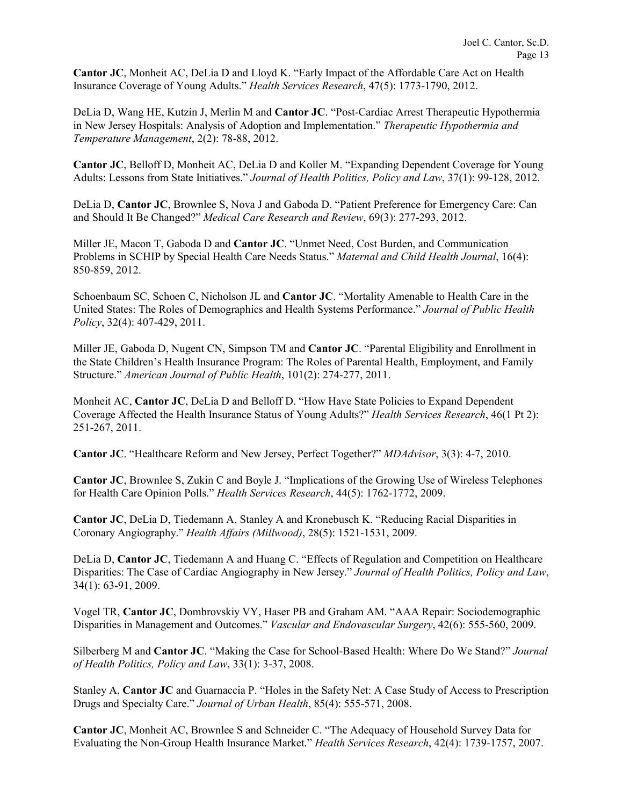**Cantor JC**, Monheit AC, DeLia D and Lloyd K. "Early Impact of the Affordable Care Act on Health Insurance Coverage of Young Adults." *Health Services Research*, 47(5): 1773-1790, 2012.

DeLia D, Wang HE, Kutzin J, Merlin M and **Cantor JC**. "Post-Cardiac Arrest Therapeutic Hypothermia in New Jersey Hospitals: Analysis of Adoption and Implementation." *Therapeutic Hypothermia and Temperature Management*, 2(2): 78-88, 2012.

**Cantor JC**, Belloff D, Monheit AC, DeLia D and Koller M. "Expanding Dependent Coverage for Young Adults: Lessons from State Initiatives." *Journal of Health Politics, Policy and Law*, 37(1): 99-128, 2012.

DeLia D, **Cantor JC**, Brownlee S, Nova J and Gaboda D. "Patient Preference for Emergency Care: Can and Should It Be Changed?" *Medical Care Research and Review*, 69(3): 277-293, 2012.

Miller JE, Macon T, Gaboda D and **Cantor JC**. "Unmet Need, Cost Burden, and Communication Problems in SCHIP by Special Health Care Needs Status." *Maternal and Child Health Journal*, 16(4): 850-859, 2012.

Schoenbaum SC, Schoen C, Nicholson JL and **Cantor JC**. "Mortality Amenable to Health Care in the United States: The Roles of Demographics and Health Systems Performance." *Journal of Public Health Policy*, 32(4): 407-429, 2011.

Miller JE, Gaboda D, Nugent CN, Simpson TM and **Cantor JC**. "Parental Eligibility and Enrollment in the State Children's Health Insurance Program: The Roles of Parental Health, Employment, and Family Structure." *American Journal of Public Health*, 101(2): 274-277, 2011.

Monheit AC, **Cantor JC**, DeLia D and Belloff D. "How Have State Policies to Expand Dependent Coverage Affected the Health Insurance Status of Young Adults?" *Health Services Research*, 46(1 Pt 2): 251-267, 2011.

**Cantor JC**. "Healthcare Reform and New Jersey, Perfect Together?" *MDAdvisor*, 3(3): 4-7, 2010.

**Cantor JC**, Brownlee S, Zukin C and Boyle J. "Implications of the Growing Use of Wireless Telephones for Health Care Opinion Polls." *Health Services Research*, 44(5): 1762-1772, 2009.

**Cantor JC**, DeLia D, Tiedemann A, Stanley A and Kronebusch K. "Reducing Racial Disparities in Coronary Angiography." *Health Affairs (Millwood)*, 28(5): 1521-1531, 2009.

DeLia D, **Cantor JC**, Tiedemann A and Huang C. "Effects of Regulation and Competition on Healthcare Disparities: The Case of Cardiac Angiography in New Jersey." *Journal of Health Politics, Policy and Law*, 34(1): 63-91, 2009.

Vogel TR, **Cantor JC**, Dombrovskiy VY, Haser PB and Graham AM. "AAA Repair: Sociodemographic Disparities in Management and Outcomes." *Vascular and Endovascular Surgery*, 42(6): 555-560, 2009.

Silberberg M and **Cantor JC**. "Making the Case for School-Based Health: Where Do We Stand?" *Journal of Health Politics, Policy and Law*, 33(1): 3-37, 2008.

Stanley A, **Cantor JC** and Guarnaccia P. "Holes in the Safety Net: A Case Study of Access to Prescription Drugs and Specialty Care." *Journal of Urban Health*, 85(4): 555-571, 2008.

**Cantor JC**, Monheit AC, Brownlee S and Schneider C. "The Adequacy of Household Survey Data for Evaluating the Non-Group Health Insurance Market." *Health Services Research*, 42(4): 1739-1757, 2007.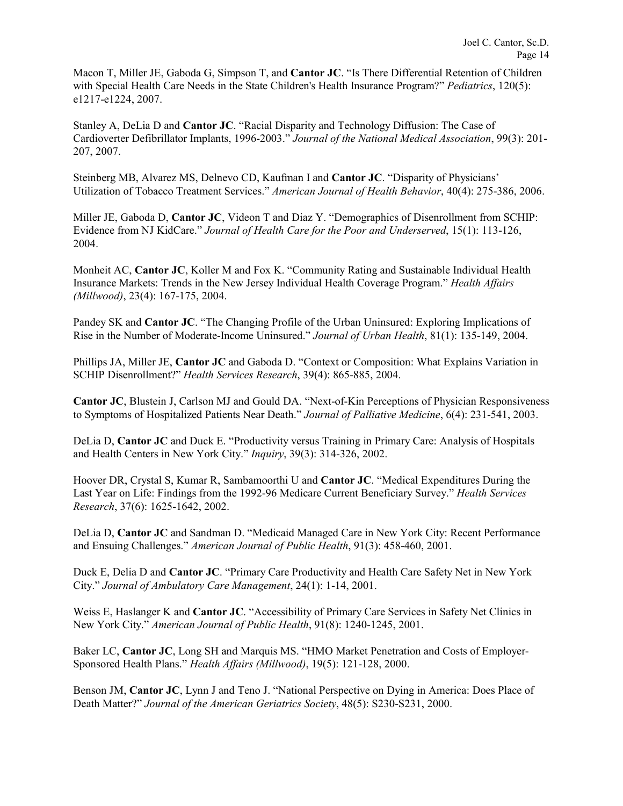Macon T, Miller JE, Gaboda G, Simpson T, and **Cantor JC**. "Is There Differential Retention of Children with Special Health Care Needs in the State Children's Health Insurance Program?" *Pediatrics*, 120(5): e1217-e1224, 2007.

Stanley A, DeLia D and **Cantor JC**. "Racial Disparity and Technology Diffusion: The Case of Cardioverter Defibrillator Implants, 1996-2003." *Journal of the National Medical Association*, 99(3): 201- 207, 2007.

Steinberg MB, Alvarez MS, Delnevo CD, Kaufman I and **Cantor JC**. "Disparity of Physicians' Utilization of Tobacco Treatment Services." *American Journal of Health Behavior*, 40(4): 275-386, 2006.

Miller JE, Gaboda D, **Cantor JC**, Videon T and Diaz Y. "Demographics of Disenrollment from SCHIP: Evidence from NJ KidCare." *Journal of Health Care for the Poor and Underserved*, 15(1): 113-126, 2004.

Monheit AC, **Cantor JC**, Koller M and Fox K. "Community Rating and Sustainable Individual Health Insurance Markets: Trends in the New Jersey Individual Health Coverage Program." *Health Affairs (Millwood)*, 23(4): 167-175, 2004.

Pandey SK and **Cantor JC**. "The Changing Profile of the Urban Uninsured: Exploring Implications of Rise in the Number of Moderate-Income Uninsured." *Journal of Urban Health*, 81(1): 135-149, 2004.

Phillips JA, Miller JE, **Cantor JC** and Gaboda D. "Context or Composition: What Explains Variation in SCHIP Disenrollment?" *Health Services Research*, 39(4): 865-885, 2004.

**Cantor JC**, Blustein J, Carlson MJ and Gould DA. "Next-of-Kin Perceptions of Physician Responsiveness to Symptoms of Hospitalized Patients Near Death." *Journal of Palliative Medicine*, 6(4): 231-541, 2003.

DeLia D, **Cantor JC** and Duck E. "Productivity versus Training in Primary Care: Analysis of Hospitals and Health Centers in New York City." *Inquiry*, 39(3): 314-326, 2002.

Hoover DR, Crystal S, Kumar R, Sambamoorthi U and **Cantor JC**. "Medical Expenditures During the Last Year on Life: Findings from the 1992-96 Medicare Current Beneficiary Survey." *Health Services Research*, 37(6): 1625-1642, 2002.

DeLia D, **Cantor JC** and Sandman D. "Medicaid Managed Care in New York City: Recent Performance and Ensuing Challenges." *American Journal of Public Health*, 91(3): 458-460, 2001.

Duck E, Delia D and **Cantor JC**. "Primary Care Productivity and Health Care Safety Net in New York City." *Journal of Ambulatory Care Management*, 24(1): 1-14, 2001.

Weiss E, Haslanger K and **Cantor JC**. "Accessibility of Primary Care Services in Safety Net Clinics in New York City." *American Journal of Public Health*, 91(8): 1240-1245, 2001.

Baker LC, **Cantor JC**, Long SH and Marquis MS. "HMO Market Penetration and Costs of Employer-Sponsored Health Plans." *Health Affairs (Millwood)*, 19(5): 121-128, 2000.

Benson JM, **Cantor JC**, Lynn J and Teno J. "National Perspective on Dying in America: Does Place of Death Matter?" *Journal of the American Geriatrics Society*, 48(5): S230-S231, 2000.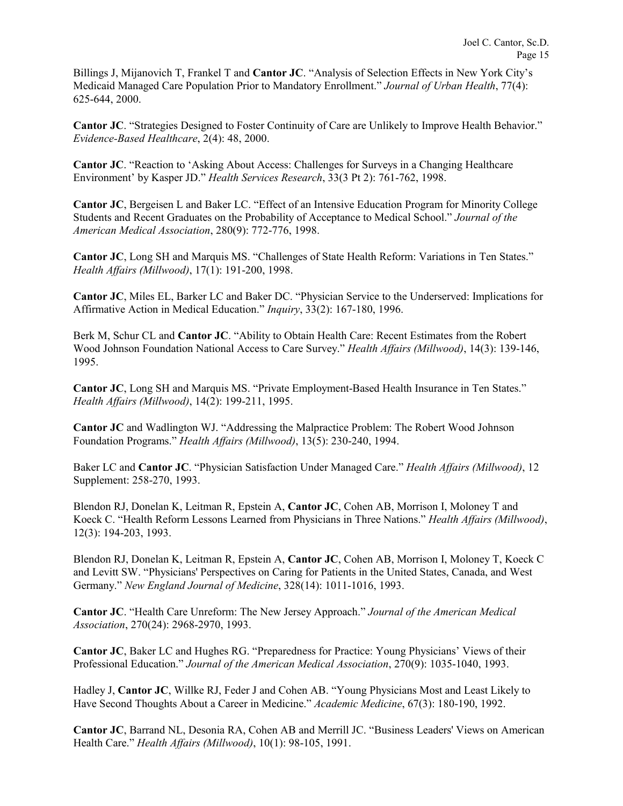Billings J, Mijanovich T, Frankel T and **Cantor JC**. "Analysis of Selection Effects in New York City's Medicaid Managed Care Population Prior to Mandatory Enrollment." *Journal of Urban Health*, 77(4): 625-644, 2000.

**Cantor JC**. "Strategies Designed to Foster Continuity of Care are Unlikely to Improve Health Behavior." *Evidence-Based Healthcare*, 2(4): 48, 2000.

**Cantor JC**. "Reaction to 'Asking About Access: Challenges for Surveys in a Changing Healthcare Environment' by Kasper JD." *Health Services Research*, 33(3 Pt 2): 761-762, 1998.

**Cantor JC**, Bergeisen L and Baker LC. "Effect of an Intensive Education Program for Minority College Students and Recent Graduates on the Probability of Acceptance to Medical School." *Journal of the American Medical Association*, 280(9): 772-776, 1998.

**Cantor JC**, Long SH and Marquis MS. "Challenges of State Health Reform: Variations in Ten States." *Health Affairs (Millwood)*, 17(1): 191-200, 1998.

**Cantor JC**, Miles EL, Barker LC and Baker DC. "Physician Service to the Underserved: Implications for Affirmative Action in Medical Education." *Inquiry*, 33(2): 167-180, 1996.

Berk M, Schur CL and **Cantor JC**. "Ability to Obtain Health Care: Recent Estimates from the Robert Wood Johnson Foundation National Access to Care Survey." *Health Affairs (Millwood)*, 14(3): 139-146, 1995.

**Cantor JC**, Long SH and Marquis MS. "Private Employment-Based Health Insurance in Ten States." *Health Affairs (Millwood)*, 14(2): 199-211, 1995.

**Cantor JC** and Wadlington WJ. "Addressing the Malpractice Problem: The Robert Wood Johnson Foundation Programs." *Health Affairs (Millwood)*, 13(5): 230-240, 1994.

Baker LC and **Cantor JC**. "Physician Satisfaction Under Managed Care." *Health Affairs (Millwood)*, 12 Supplement: 258-270, 1993.

Blendon RJ, Donelan K, Leitman R, Epstein A, **Cantor JC**, Cohen AB, Morrison I, Moloney T and Koeck C. "Health Reform Lessons Learned from Physicians in Three Nations." *Health Affairs (Millwood)*, 12(3): 194-203, 1993.

Blendon RJ, Donelan K, Leitman R, Epstein A, **Cantor JC**, Cohen AB, Morrison I, Moloney T, Koeck C and Levitt SW. "Physicians' Perspectives on Caring for Patients in the United States, Canada, and West Germany." *New England Journal of Medicine*, 328(14): 1011-1016, 1993.

**Cantor JC**. "Health Care Unreform: The New Jersey Approach." *Journal of the American Medical Association*, 270(24): 2968-2970, 1993.

**Cantor JC**, Baker LC and Hughes RG. "Preparedness for Practice: Young Physicians' Views of their Professional Education." *Journal of the American Medical Association*, 270(9): 1035-1040, 1993.

Hadley J, **Cantor JC**, Willke RJ, Feder J and Cohen AB. "Young Physicians Most and Least Likely to Have Second Thoughts About a Career in Medicine." *Academic Medicine*, 67(3): 180-190, 1992.

**Cantor JC**, Barrand NL, Desonia RA, Cohen AB and Merrill JC. "Business Leaders' Views on American Health Care." *Health Affairs (Millwood)*, 10(1): 98-105, 1991.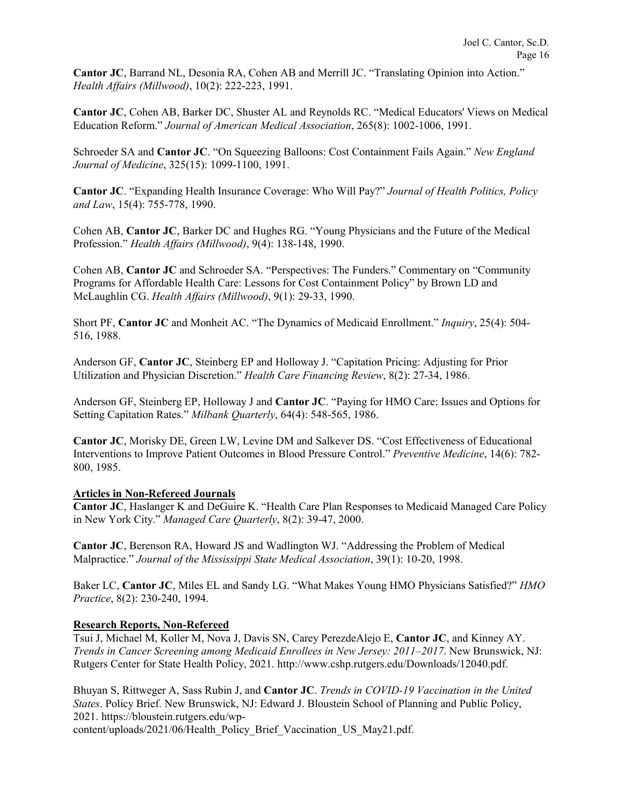**Cantor JC**, Barrand NL, Desonia RA, Cohen AB and Merrill JC. "Translating Opinion into Action." *Health Affairs (Millwood)*, 10(2): 222-223, 1991.

**Cantor JC**, Cohen AB, Barker DC, Shuster AL and Reynolds RC. "Medical Educators' Views on Medical Education Reform." *Journal of American Medical Association*, 265(8): 1002-1006, 1991.

Schroeder SA and **Cantor JC**. "On Squeezing Balloons: Cost Containment Fails Again." *New England Journal of Medicine*, 325(15): 1099-1100, 1991.

**Cantor JC**. "Expanding Health Insurance Coverage: Who Will Pay?" *Journal of Health Politics, Policy and Law*, 15(4): 755-778, 1990.

Cohen AB, **Cantor JC**, Barker DC and Hughes RG. "Young Physicians and the Future of the Medical Profession." *Health Affairs (Millwood)*, 9(4): 138-148, 1990.

Cohen AB, **Cantor JC** and Schroeder SA. "Perspectives: The Funders." Commentary on "Community Programs for Affordable Health Care: Lessons for Cost Containment Policy" by Brown LD and McLaughlin CG. *Health Affairs (Millwood)*, 9(1): 29-33, 1990.

Short PF, **Cantor JC** and Monheit AC. "The Dynamics of Medicaid Enrollment." *Inquiry*, 25(4): 504- 516, 1988.

Anderson GF, **Cantor JC**, Steinberg EP and Holloway J. "Capitation Pricing: Adjusting for Prior Utilization and Physician Discretion." *Health Care Financing Review*, 8(2): 27-34, 1986.

Anderson GF, Steinberg EP, Holloway J and **Cantor JC**. "Paying for HMO Care: Issues and Options for Setting Capitation Rates." *Milbank Quarterly*, 64(4): 548-565, 1986.

**Cantor JC**, Morisky DE, Green LW, Levine DM and Salkever DS. "Cost Effectiveness of Educational Interventions to Improve Patient Outcomes in Blood Pressure Control." *Preventive Medicine*, 14(6): 782- 800, 1985.

### **Articles in Non-Refereed Journals**

**Cantor JC**, Haslanger K and DeGuire K. "Health Care Plan Responses to Medicaid Managed Care Policy in New York City." *Managed Care Quarterly*, 8(2): 39-47, 2000.

**Cantor JC**, Berenson RA, Howard JS and Wadlington WJ. "Addressing the Problem of Medical Malpractice." *Journal of the Mississippi State Medical Association*, 39(1): 10-20, 1998.

Baker LC, **Cantor JC**, Miles EL and Sandy LG. "What Makes Young HMO Physicians Satisfied?" *HMO Practice*, 8(2): 230-240, 1994.

### **Research Reports, Non-Refereed**

Tsui J, Michael M, Koller M, Nova J, Davis SN, Carey PerezdeAlejo E, **Cantor JC**, and Kinney AY. *Trends in Cancer Screening among Medicaid Enrollees in New Jersey: 2011–2017*. New Brunswick, NJ: Rutgers Center for State Health Policy, 2021. http://www.cshp.rutgers.edu/Downloads/12040.pdf.

Bhuyan S, Rittweger A, Sass Rubin J, and **Cantor JC**. *Trends in COVID-19 Vaccination in the United States*. Policy Brief. New Brunswick, NJ: Edward J. Bloustein School of Planning and Public Policy, 2021. https://bloustein.rutgers.edu/wp-

content/uploads/2021/06/Health\_Policy\_Brief\_Vaccination\_US\_May21.pdf.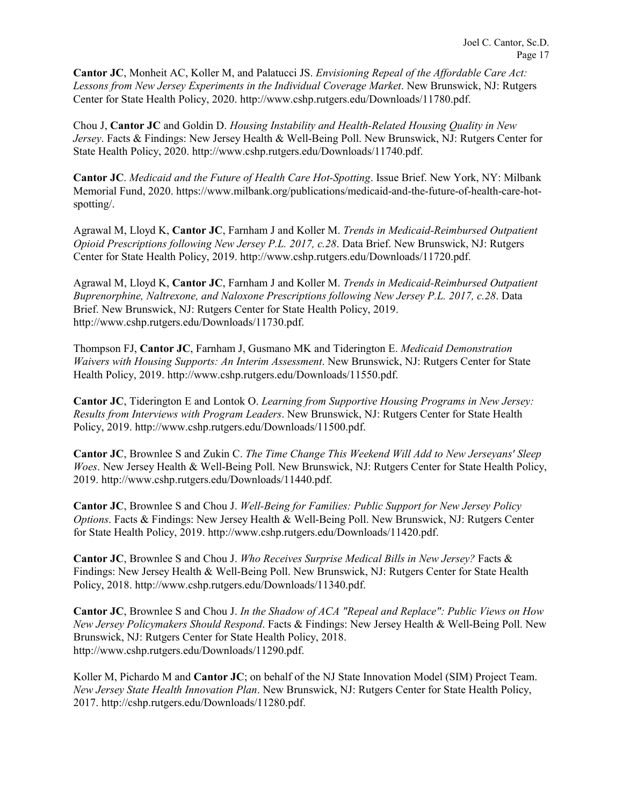**Cantor JC**, Monheit AC, Koller M, and Palatucci JS. *Envisioning Repeal of the Affordable Care Act: Lessons from New Jersey Experiments in the Individual Coverage Market*. New Brunswick, NJ: Rutgers Center for State Health Policy, 2020. http://www.cshp.rutgers.edu/Downloads/11780.pdf.

Chou J, **Cantor JC** and Goldin D. *Housing Instability and Health-Related Housing Quality in New Jersey*. Facts & Findings: New Jersey Health & Well-Being Poll. New Brunswick, NJ: Rutgers Center for State Health Policy, 2020. http://www.cshp.rutgers.edu/Downloads/11740.pdf.

**Cantor JC**. *Medicaid and the Future of Health Care Hot-Spotting*. Issue Brief. New York, NY: Milbank Memorial Fund, 2020. https://www.milbank.org/publications/medicaid-and-the-future-of-health-care-hotspotting/.

Agrawal M, Lloyd K, **Cantor JC**, Farnham J and Koller M. *Trends in Medicaid-Reimbursed Outpatient Opioid Prescriptions following New Jersey P.L. 2017, c.28*. Data Brief. New Brunswick, NJ: Rutgers Center for State Health Policy, 2019. http://www.cshp.rutgers.edu/Downloads/11720.pdf.

Agrawal M, Lloyd K, **Cantor JC**, Farnham J and Koller M. *Trends in Medicaid-Reimbursed Outpatient Buprenorphine, Naltrexone, and Naloxone Prescriptions following New Jersey P.L. 2017, c.28*. Data Brief. New Brunswick, NJ: Rutgers Center for State Health Policy, 2019. http://www.cshp.rutgers.edu/Downloads/11730.pdf.

Thompson FJ, **Cantor JC**, Farnham J, Gusmano MK and Tiderington E. *Medicaid Demonstration Waivers with Housing Supports: An Interim Assessment*. New Brunswick, NJ: Rutgers Center for State Health Policy, 2019. http://www.cshp.rutgers.edu/Downloads/11550.pdf.

**Cantor JC**, Tiderington E and Lontok O. *Learning from Supportive Housing Programs in New Jersey: Results from Interviews with Program Leaders*. New Brunswick, NJ: Rutgers Center for State Health Policy, 2019. http://www.cshp.rutgers.edu/Downloads/11500.pdf.

**Cantor JC**, Brownlee S and Zukin C. *The Time Change This Weekend Will Add to New Jerseyans' Sleep Woes*. New Jersey Health & Well-Being Poll. New Brunswick, NJ: Rutgers Center for State Health Policy, 2019. http://www.cshp.rutgers.edu/Downloads/11440.pdf.

**Cantor JC**, Brownlee S and Chou J. *Well-Being for Families: Public Support for New Jersey Policy Options*. Facts & Findings: New Jersey Health & Well-Being Poll. New Brunswick, NJ: Rutgers Center for State Health Policy, 2019. http://www.cshp.rutgers.edu/Downloads/11420.pdf.

**Cantor JC**, Brownlee S and Chou J. *Who Receives Surprise Medical Bills in New Jersey?* Facts & Findings: New Jersey Health & Well-Being Poll. New Brunswick, NJ: Rutgers Center for State Health Policy, 2018. http://www.cshp.rutgers.edu/Downloads/11340.pdf.

**Cantor JC**, Brownlee S and Chou J. *In the Shadow of ACA "Repeal and Replace": Public Views on How New Jersey Policymakers Should Respond*. Facts & Findings: New Jersey Health & Well-Being Poll. New Brunswick, NJ: Rutgers Center for State Health Policy, 2018. http://www.cshp.rutgers.edu/Downloads/11290.pdf.

Koller M, Pichardo M and **Cantor JC**; on behalf of the NJ State Innovation Model (SIM) Project Team. *New Jersey State Health Innovation Plan*. New Brunswick, NJ: Rutgers Center for State Health Policy, 2017. http://cshp.rutgers.edu/Downloads/11280.pdf.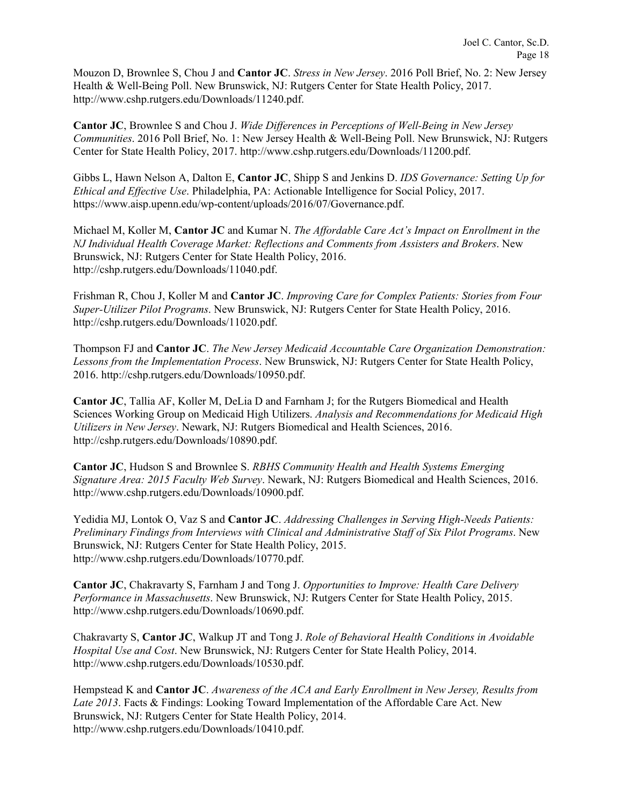Mouzon D, Brownlee S, Chou J and **Cantor JC**. *Stress in New Jersey*. 2016 Poll Brief, No. 2: New Jersey Health & Well-Being Poll. New Brunswick, NJ: Rutgers Center for State Health Policy, 2017. http://www.cshp.rutgers.edu/Downloads/11240.pdf.

**Cantor JC**, Brownlee S and Chou J. *Wide Differences in Perceptions of Well-Being in New Jersey Communities*. 2016 Poll Brief, No. 1: New Jersey Health & Well-Being Poll. New Brunswick, NJ: Rutgers Center for State Health Policy, 2017. http://www.cshp.rutgers.edu/Downloads/11200.pdf.

Gibbs L, Hawn Nelson A, Dalton E, **Cantor JC**, Shipp S and Jenkins D. *IDS Governance: Setting Up for Ethical and Effective Use*. Philadelphia, PA: Actionable Intelligence for Social Policy, 2017. https://www.aisp.upenn.edu/wp-content/uploads/2016/07/Governance.pdf.

Michael M, Koller M, **Cantor JC** and Kumar N. *The Affordable Care Act's Impact on Enrollment in the NJ Individual Health Coverage Market: Reflections and Comments from Assisters and Brokers*. New Brunswick, NJ: Rutgers Center for State Health Policy, 2016. http://cshp.rutgers.edu/Downloads/11040.pdf.

Frishman R, Chou J, Koller M and **Cantor JC**. *Improving Care for Complex Patients: Stories from Four Super-Utilizer Pilot Programs*. New Brunswick, NJ: Rutgers Center for State Health Policy, 2016. http://cshp.rutgers.edu/Downloads/11020.pdf.

Thompson FJ and **Cantor JC**. *The New Jersey Medicaid Accountable Care Organization Demonstration: Lessons from the Implementation Process*. New Brunswick, NJ: Rutgers Center for State Health Policy, 2016. http://cshp.rutgers.edu/Downloads/10950.pdf.

**Cantor JC**, Tallia AF, Koller M, DeLia D and Farnham J; for the Rutgers Biomedical and Health Sciences Working Group on Medicaid High Utilizers. *Analysis and Recommendations for Medicaid High Utilizers in New Jersey*. Newark, NJ: Rutgers Biomedical and Health Sciences, 2016. http://cshp.rutgers.edu/Downloads/10890.pdf.

**Cantor JC**, Hudson S and Brownlee S. *RBHS Community Health and Health Systems Emerging Signature Area: 2015 Faculty Web Survey*. Newark, NJ: Rutgers Biomedical and Health Sciences, 2016. http://www.cshp.rutgers.edu/Downloads/10900.pdf.

Yedidia MJ, Lontok O, Vaz S and **Cantor JC**. *Addressing Challenges in Serving High-Needs Patients: Preliminary Findings from Interviews with Clinical and Administrative Staff of Six Pilot Programs*. New Brunswick, NJ: Rutgers Center for State Health Policy, 2015. http://www.cshp.rutgers.edu/Downloads/10770.pdf.

**Cantor JC**, Chakravarty S, Farnham J and Tong J. *Opportunities to Improve: Health Care Delivery Performance in Massachusetts*. New Brunswick, NJ: Rutgers Center for State Health Policy, 2015. http://www.cshp.rutgers.edu/Downloads/10690.pdf.

Chakravarty S, **Cantor JC**, Walkup JT and Tong J. *Role of Behavioral Health Conditions in Avoidable Hospital Use and Cost*. New Brunswick, NJ: Rutgers Center for State Health Policy, 2014. http://www.cshp.rutgers.edu/Downloads/10530.pdf.

Hempstead K and **Cantor JC**. *Awareness of the ACA and Early Enrollment in New Jersey, Results from Late 2013*. Facts & Findings: Looking Toward Implementation of the Affordable Care Act. New Brunswick, NJ: Rutgers Center for State Health Policy, 2014. http://www.cshp.rutgers.edu/Downloads/10410.pdf.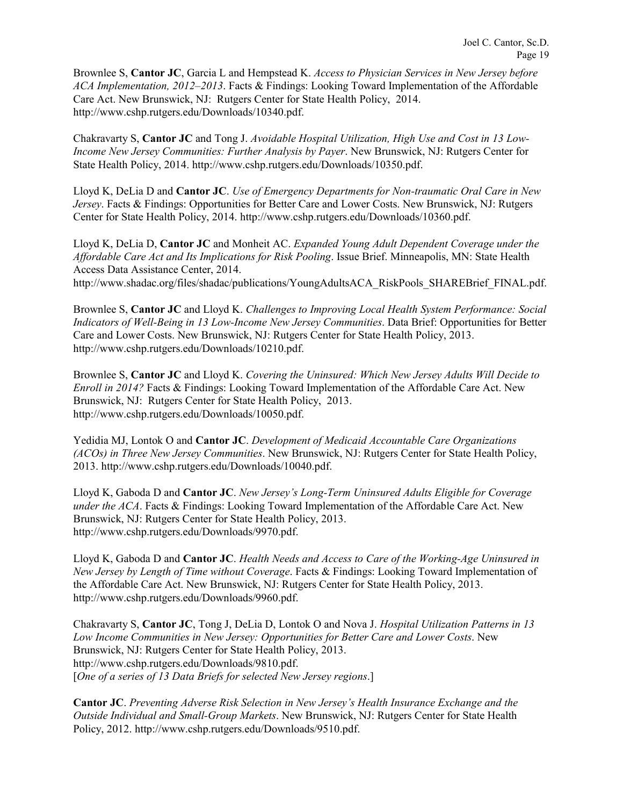Brownlee S, **Cantor JC**, Garcia L and Hempstead K. *Access to Physician Services in New Jersey before ACA Implementation, 2012–2013*. Facts & Findings: Looking Toward Implementation of the Affordable Care Act. New Brunswick, NJ: Rutgers Center for State Health Policy, 2014. http://www.cshp.rutgers.edu/Downloads/10340.pdf.

Chakravarty S, **Cantor JC** and Tong J. *Avoidable Hospital Utilization, High Use and Cost in 13 Low-Income New Jersey Communities: Further Analysis by Payer*. New Brunswick, NJ: Rutgers Center for State Health Policy, 2014. http://www.cshp.rutgers.edu/Downloads/10350.pdf.

Lloyd K, DeLia D and **Cantor JC**. *Use of Emergency Departments for Non-traumatic Oral Care in New Jersey*. Facts & Findings: Opportunities for Better Care and Lower Costs. New Brunswick, NJ: Rutgers Center for State Health Policy, 2014. http://www.cshp.rutgers.edu/Downloads/10360.pdf.

Lloyd K, DeLia D, **Cantor JC** and Monheit AC. *Expanded Young Adult Dependent Coverage under the Affordable Care Act and Its Implications for Risk Pooling*. Issue Brief. Minneapolis, MN: State Health Access Data Assistance Center, 2014. http://www.shadac.org/files/shadac/publications/YoungAdultsACA\_RiskPools\_SHAREBrief\_FINAL.pdf.

Brownlee S, **Cantor JC** and Lloyd K. *Challenges to Improving Local Health System Performance: Social Indicators of Well-Being in 13 Low-Income New Jersey Communities*. Data Brief: Opportunities for Better Care and Lower Costs. New Brunswick, NJ: Rutgers Center for State Health Policy, 2013. http://www.cshp.rutgers.edu/Downloads/10210.pdf.

Brownlee S, **Cantor JC** and Lloyd K. *Covering the Uninsured: Which New Jersey Adults Will Decide to Enroll in 2014?* Facts & Findings: Looking Toward Implementation of the Affordable Care Act. New Brunswick, NJ: Rutgers Center for State Health Policy, 2013. http://www.cshp.rutgers.edu/Downloads/10050.pdf.

Yedidia MJ, Lontok O and **Cantor JC**. *Development of Medicaid Accountable Care Organizations (ACOs) in Three New Jersey Communities*. New Brunswick, NJ: Rutgers Center for State Health Policy, 2013. http://www.cshp.rutgers.edu/Downloads/10040.pdf.

Lloyd K, Gaboda D and **Cantor JC**. *New Jersey's Long-Term Uninsured Adults Eligible for Coverage under the ACA*. Facts & Findings: Looking Toward Implementation of the Affordable Care Act. New Brunswick, NJ: Rutgers Center for State Health Policy, 2013. http://www.cshp.rutgers.edu/Downloads/9970.pdf.

Lloyd K, Gaboda D and **Cantor JC**. *Health Needs and Access to Care of the Working-Age Uninsured in New Jersey by Length of Time without Coverage*. Facts & Findings: Looking Toward Implementation of the Affordable Care Act. New Brunswick, NJ: Rutgers Center for State Health Policy, 2013. http://www.cshp.rutgers.edu/Downloads/9960.pdf.

Chakravarty S, **Cantor JC**, Tong J, DeLia D, Lontok O and Nova J. *Hospital Utilization Patterns in 13 Low Income Communities in New Jersey: Opportunities for Better Care and Lower Costs*. New Brunswick, NJ: Rutgers Center for State Health Policy, 2013. http://www.cshp.rutgers.edu/Downloads/9810.pdf. [*One of a series of 13 Data Briefs for selected New Jersey regions*.]

**Cantor JC**. *Preventing Adverse Risk Selection in New Jersey's Health Insurance Exchange and the Outside Individual and Small-Group Markets*. New Brunswick, NJ: Rutgers Center for State Health Policy, 2012. http://www.cshp.rutgers.edu/Downloads/9510.pdf.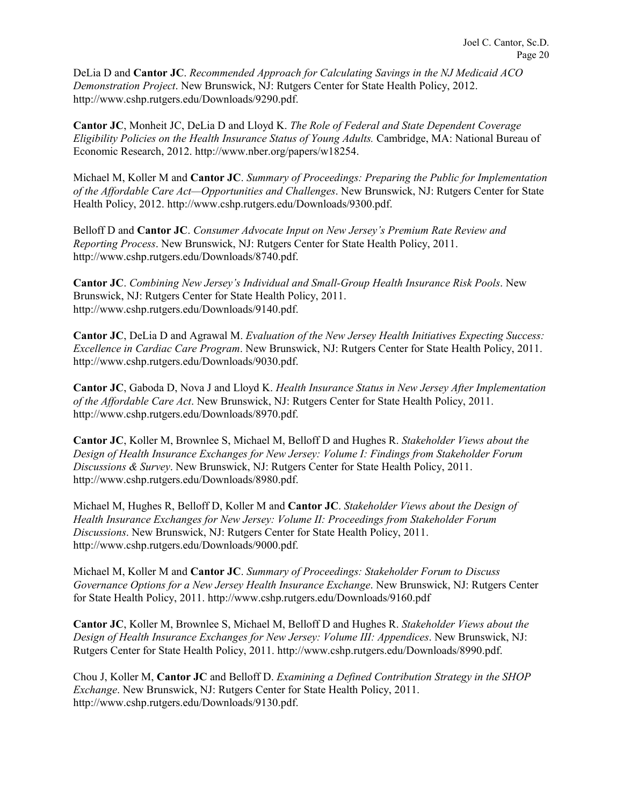DeLia D and **Cantor JC**. *Recommended Approach for Calculating Savings in the NJ Medicaid ACO Demonstration Project*. New Brunswick, NJ: Rutgers Center for State Health Policy, 2012. http://www.cshp.rutgers.edu/Downloads/9290.pdf.

**Cantor JC**, Monheit JC, DeLia D and Lloyd K. *The Role of Federal and State Dependent Coverage Eligibility Policies on the Health Insurance Status of Young Adults.* Cambridge, MA: National Bureau of Economic Research, 2012. http://www.nber.org/papers/w18254.

Michael M, Koller M and **Cantor JC**. *Summary of Proceedings: Preparing the Public for Implementation of the Affordable Care Act—Opportunities and Challenges*. New Brunswick, NJ: Rutgers Center for State Health Policy, 2012. http://www.cshp.rutgers.edu/Downloads/9300.pdf.

Belloff D and **Cantor JC**. *Consumer Advocate Input on New Jersey's Premium Rate Review and Reporting Process*. New Brunswick, NJ: Rutgers Center for State Health Policy, 2011. http://www.cshp.rutgers.edu/Downloads/8740.pdf.

**Cantor JC**. *Combining New Jersey's Individual and Small-Group Health Insurance Risk Pools*. New Brunswick, NJ: Rutgers Center for State Health Policy, 2011. http://www.cshp.rutgers.edu/Downloads/9140.pdf.

**Cantor JC**, DeLia D and Agrawal M. *Evaluation of the New Jersey Health Initiatives Expecting Success: Excellence in Cardiac Care Program*. New Brunswick, NJ: Rutgers Center for State Health Policy, 2011. http://www.cshp.rutgers.edu/Downloads/9030.pdf.

**Cantor JC**, Gaboda D, Nova J and Lloyd K. *Health Insurance Status in New Jersey After Implementation of the Affordable Care Act*. New Brunswick, NJ: Rutgers Center for State Health Policy, 2011. http://www.cshp.rutgers.edu/Downloads/8970.pdf.

**Cantor JC**, Koller M, Brownlee S, Michael M, Belloff D and Hughes R. *Stakeholder Views about the Design of Health Insurance Exchanges for New Jersey: Volume I: Findings from Stakeholder Forum Discussions & Survey*. New Brunswick, NJ: Rutgers Center for State Health Policy, 2011. http://www.cshp.rutgers.edu/Downloads/8980.pdf.

Michael M, Hughes R, Belloff D, Koller M and **Cantor JC**. *Stakeholder Views about the Design of Health Insurance Exchanges for New Jersey: Volume II: Proceedings from Stakeholder Forum Discussions*. New Brunswick, NJ: Rutgers Center for State Health Policy, 2011. http://www.cshp.rutgers.edu/Downloads/9000.pdf.

Michael M, Koller M and **Cantor JC**. *Summary of Proceedings: Stakeholder Forum to Discuss Governance Options for a New Jersey Health Insurance Exchange*. New Brunswick, NJ: Rutgers Center for State Health Policy, 2011. http://www.cshp.rutgers.edu/Downloads/9160.pdf

**Cantor JC**, Koller M, Brownlee S, Michael M, Belloff D and Hughes R. *Stakeholder Views about the Design of Health Insurance Exchanges for New Jersey: Volume III: Appendices*. New Brunswick, NJ: Rutgers Center for State Health Policy, 2011. http://www.cshp.rutgers.edu/Downloads/8990.pdf.

Chou J, Koller M, **Cantor JC** and Belloff D. *Examining a Defined Contribution Strategy in the SHOP Exchange*. New Brunswick, NJ: Rutgers Center for State Health Policy, 2011. http://www.cshp.rutgers.edu/Downloads/9130.pdf.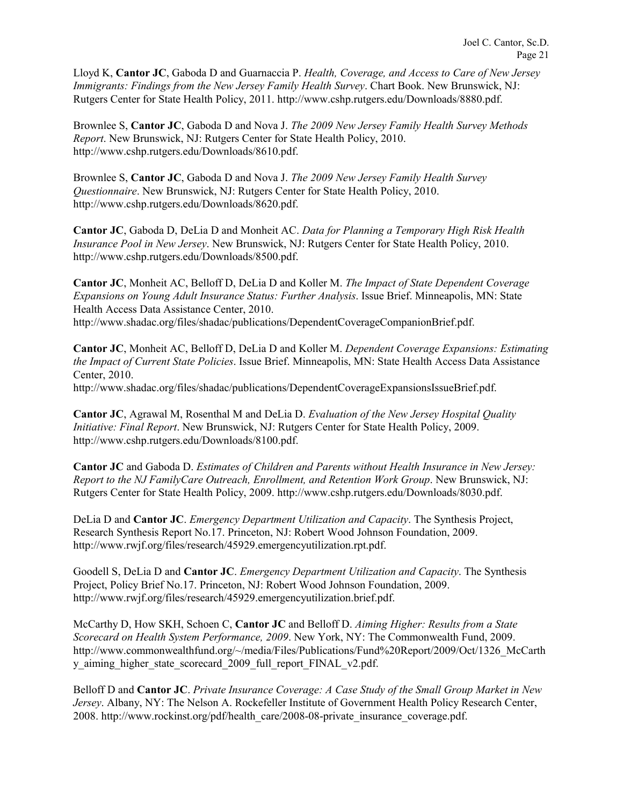Lloyd K, **Cantor JC**, Gaboda D and Guarnaccia P. *Health, Coverage, and Access to Care of New Jersey Immigrants: Findings from the New Jersey Family Health Survey*. Chart Book. New Brunswick, NJ: Rutgers Center for State Health Policy, 2011. http://www.cshp.rutgers.edu/Downloads/8880.pdf.

Brownlee S, **Cantor JC**, Gaboda D and Nova J. *The 2009 New Jersey Family Health Survey Methods Report*. New Brunswick, NJ: Rutgers Center for State Health Policy, 2010. http://www.cshp.rutgers.edu/Downloads/8610.pdf.

Brownlee S, **Cantor JC**, Gaboda D and Nova J. *The 2009 New Jersey Family Health Survey Questionnaire*. New Brunswick, NJ: Rutgers Center for State Health Policy, 2010. http://www.cshp.rutgers.edu/Downloads/8620.pdf.

**Cantor JC**, Gaboda D, DeLia D and Monheit AC. *Data for Planning a Temporary High Risk Health Insurance Pool in New Jersey*. New Brunswick, NJ: Rutgers Center for State Health Policy, 2010. http://www.cshp.rutgers.edu/Downloads/8500.pdf.

**Cantor JC**, Monheit AC, Belloff D, DeLia D and Koller M. *The Impact of State Dependent Coverage Expansions on Young Adult Insurance Status: Further Analysis*. Issue Brief. Minneapolis, MN: State Health Access Data Assistance Center, 2010. http://www.shadac.org/files/shadac/publications/DependentCoverageCompanionBrief.pdf.

**Cantor JC**, Monheit AC, Belloff D, DeLia D and Koller M. *Dependent Coverage Expansions: Estimating the Impact of Current State Policies*. Issue Brief. Minneapolis, MN: State Health Access Data Assistance Center, 2010.

http://www.shadac.org/files/shadac/publications/DependentCoverageExpansionsIssueBrief.pdf.

**Cantor JC**, Agrawal M, Rosenthal M and DeLia D. *Evaluation of the New Jersey Hospital Quality Initiative: Final Report*. New Brunswick, NJ: Rutgers Center for State Health Policy, 2009. http://www.cshp.rutgers.edu/Downloads/8100.pdf.

**Cantor JC** and Gaboda D. *Estimates of Children and Parents without Health Insurance in New Jersey: Report to the NJ FamilyCare Outreach, Enrollment, and Retention Work Group*. New Brunswick, NJ: Rutgers Center for State Health Policy, 2009. http://www.cshp.rutgers.edu/Downloads/8030.pdf.

DeLia D and **Cantor JC**. *Emergency Department Utilization and Capacity*. The Synthesis Project, Research Synthesis Report No.17. Princeton, NJ: Robert Wood Johnson Foundation, 2009. http://www.rwjf.org/files/research/45929.emergencyutilization.rpt.pdf.

Goodell S, DeLia D and **Cantor JC**. *Emergency Department Utilization and Capacity*. The Synthesis Project, Policy Brief No.17. Princeton, NJ: Robert Wood Johnson Foundation, 2009. http://www.rwjf.org/files/research/45929.emergencyutilization.brief.pdf.

McCarthy D, How SKH, Schoen C, **Cantor JC** and Belloff D. *Aiming Higher: Results from a State Scorecard on Health System Performance, 2009*. New York, NY: The Commonwealth Fund, 2009. http://www.commonwealthfund.org/~/media/Files/Publications/Fund%20Report/2009/Oct/1326\_McCarth y\_aiming\_higher\_state\_scorecard\_2009\_full\_report\_FINAL\_v2.pdf.

Belloff D and **Cantor JC**. *Private Insurance Coverage: A Case Study of the Small Group Market in New Jersey*. Albany, NY: The Nelson A. Rockefeller Institute of Government Health Policy Research Center, 2008. http://www.rockinst.org/pdf/health\_care/2008-08-private\_insurance\_coverage.pdf.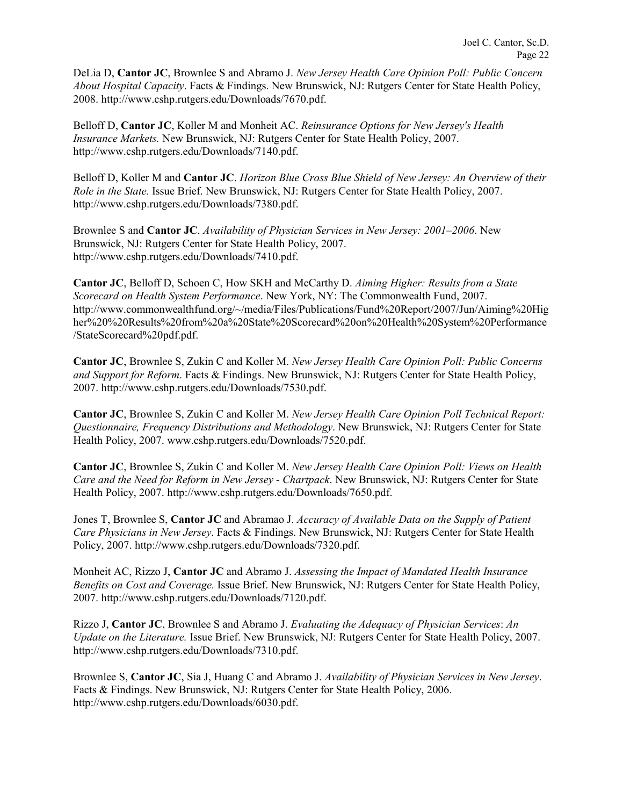DeLia D, **Cantor JC**, Brownlee S and Abramo J. *New Jersey Health Care Opinion Poll: Public Concern About Hospital Capacity*. Facts & Findings. New Brunswick, NJ: Rutgers Center for State Health Policy, 2008. http://www.cshp.rutgers.edu/Downloads/7670.pdf.

Belloff D, **Cantor JC**, Koller M and Monheit AC. *Reinsurance Options for New Jersey's Health Insurance Markets.* New Brunswick, NJ: Rutgers Center for State Health Policy, 2007. http://www.cshp.rutgers.edu/Downloads/7140.pdf.

Belloff D, Koller M and **Cantor JC**. *Horizon Blue Cross Blue Shield of New Jersey: An Overview of their Role in the State.* Issue Brief. New Brunswick, NJ: Rutgers Center for State Health Policy, 2007. http://www.cshp.rutgers.edu/Downloads/7380.pdf.

Brownlee S and **Cantor JC**. *Availability of Physician Services in New Jersey: 2001–2006*. New Brunswick, NJ: Rutgers Center for State Health Policy, 2007. http://www.cshp.rutgers.edu/Downloads/7410.pdf.

**Cantor JC**, Belloff D, Schoen C, How SKH and McCarthy D. *Aiming Higher: Results from a State Scorecard on Health System Performance*. New York, NY: The Commonwealth Fund, 2007. http://www.commonwealthfund.org/~/media/Files/Publications/Fund%20Report/2007/Jun/Aiming%20Hig her%20%20Results%20from%20a%20State%20Scorecard%20on%20Health%20System%20Performance /StateScorecard%20pdf.pdf.

**Cantor JC**, Brownlee S, Zukin C and Koller M. *New Jersey Health Care Opinion Poll: Public Concerns and Support for Reform*. Facts & Findings. New Brunswick, NJ: Rutgers Center for State Health Policy, 2007. http://www.cshp.rutgers.edu/Downloads/7530.pdf.

**Cantor JC**, Brownlee S, Zukin C and Koller M. *New Jersey Health Care Opinion Poll Technical Report: Questionnaire, Frequency Distributions and Methodology*. New Brunswick, NJ: Rutgers Center for State Health Policy, 2007. www.cshp.rutgers.edu/Downloads/7520.pdf.

**Cantor JC**, Brownlee S, Zukin C and Koller M. *New Jersey Health Care Opinion Poll: Views on Health Care and the Need for Reform in New Jersey - Chartpack*. New Brunswick, NJ: Rutgers Center for State Health Policy, 2007. http://www.cshp.rutgers.edu/Downloads/7650.pdf.

Jones T, Brownlee S, **Cantor JC** and Abramao J. *Accuracy of Available Data on the Supply of Patient Care Physicians in New Jersey*. Facts & Findings. New Brunswick, NJ: Rutgers Center for State Health Policy, 2007. http://www.cshp.rutgers.edu/Downloads/7320.pdf.

Monheit AC, Rizzo J, **Cantor JC** and Abramo J. *Assessing the Impact of Mandated Health Insurance Benefits on Cost and Coverage.* Issue Brief. New Brunswick, NJ: Rutgers Center for State Health Policy, 2007. http://www.cshp.rutgers.edu/Downloads/7120.pdf.

Rizzo J, **Cantor JC**, Brownlee S and Abramo J. *Evaluating the Adequacy of Physician Services*: *An Update on the Literature.* Issue Brief. New Brunswick, NJ: Rutgers Center for State Health Policy, 2007. http://www.cshp.rutgers.edu/Downloads/7310.pdf.

Brownlee S, **Cantor JC**, Sia J, Huang C and Abramo J. *Availability of Physician Services in New Jersey*. Facts & Findings. New Brunswick, NJ: Rutgers Center for State Health Policy, 2006. http://www.cshp.rutgers.edu/Downloads/6030.pdf.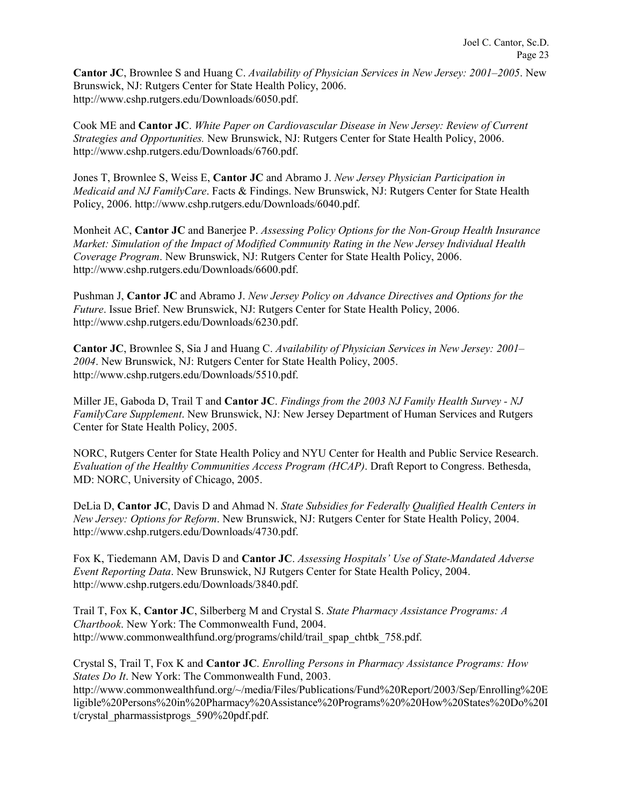**Cantor JC**, Brownlee S and Huang C. *Availability of Physician Services in New Jersey: 2001–2005*. New Brunswick, NJ: Rutgers Center for State Health Policy, 2006. http://www.cshp.rutgers.edu/Downloads/6050.pdf.

Cook ME and **Cantor JC**. *White Paper on Cardiovascular Disease in New Jersey: Review of Current Strategies and Opportunities.* New Brunswick, NJ: Rutgers Center for State Health Policy, 2006. http://www.cshp.rutgers.edu/Downloads/6760.pdf.

Jones T, Brownlee S, Weiss E, **Cantor JC** and Abramo J. *New Jersey Physician Participation in Medicaid and NJ FamilyCare*. Facts & Findings. New Brunswick, NJ: Rutgers Center for State Health Policy, 2006. http://www.cshp.rutgers.edu/Downloads/6040.pdf.

Monheit AC, **Cantor JC** and Banerjee P. *Assessing Policy Options for the Non-Group Health Insurance Market: Simulation of the Impact of Modified Community Rating in the New Jersey Individual Health Coverage Program*. New Brunswick, NJ: Rutgers Center for State Health Policy, 2006. http://www.cshp.rutgers.edu/Downloads/6600.pdf.

Pushman J, **Cantor JC** and Abramo J. *New Jersey Policy on Advance Directives and Options for the Future*. Issue Brief. New Brunswick, NJ: Rutgers Center for State Health Policy, 2006. http://www.cshp.rutgers.edu/Downloads/6230.pdf.

**Cantor JC**, Brownlee S, Sia J and Huang C. *Availability of Physician Services in New Jersey: 2001– 2004*. New Brunswick, NJ: Rutgers Center for State Health Policy, 2005. http://www.cshp.rutgers.edu/Downloads/5510.pdf.

Miller JE, Gaboda D, Trail T and **Cantor JC**. *Findings from the 2003 NJ Family Health Survey - NJ FamilyCare Supplement*. New Brunswick, NJ: New Jersey Department of Human Services and Rutgers Center for State Health Policy, 2005.

NORC, Rutgers Center for State Health Policy and NYU Center for Health and Public Service Research. *Evaluation of the Healthy Communities Access Program (HCAP)*. Draft Report to Congress. Bethesda, MD: NORC, University of Chicago, 2005.

DeLia D, **Cantor JC**, Davis D and Ahmad N. *State Subsidies for Federally Qualified Health Centers in New Jersey: Options for Reform*. New Brunswick, NJ: Rutgers Center for State Health Policy, 2004. http://www.cshp.rutgers.edu/Downloads/4730.pdf.

Fox K, Tiedemann AM, Davis D and **Cantor JC**. *Assessing Hospitals' Use of State-Mandated Adverse Event Reporting Data*. New Brunswick, NJ Rutgers Center for State Health Policy, 2004. http://www.cshp.rutgers.edu/Downloads/3840.pdf.

Trail T, Fox K, **Cantor JC**, Silberberg M and Crystal S. *State Pharmacy Assistance Programs: A Chartbook*. New York: The Commonwealth Fund, 2004. http://www.commonwealthfund.org/programs/child/trail\_spap\_chtbk\_758.pdf.

Crystal S, Trail T, Fox K and **Cantor JC**. *Enrolling Persons in Pharmacy Assistance Programs: How States Do It*. New York: The Commonwealth Fund, 2003.

http://www.commonwealthfund.org/~/media/Files/Publications/Fund%20Report/2003/Sep/Enrolling%20E ligible%20Persons%20in%20Pharmacy%20Assistance%20Programs%20%20How%20States%20Do%20I t/crystal\_pharmassistprogs\_590%20pdf.pdf.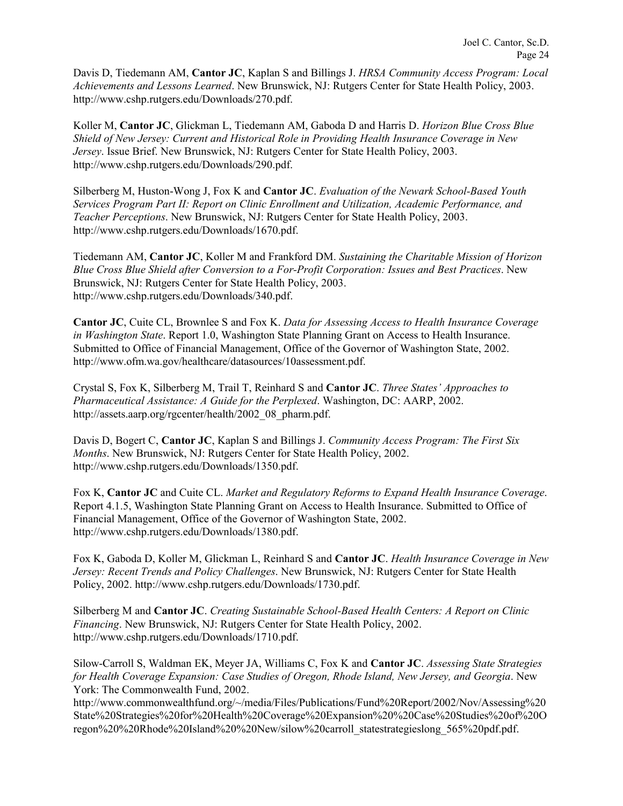Davis D, Tiedemann AM, **Cantor JC**, Kaplan S and Billings J. *HRSA Community Access Program: Local Achievements and Lessons Learned*. New Brunswick, NJ: Rutgers Center for State Health Policy, 2003. http://www.cshp.rutgers.edu/Downloads/270.pdf.

Koller M, **Cantor JC**, Glickman L, Tiedemann AM, Gaboda D and Harris D. *Horizon Blue Cross Blue Shield of New Jersey: Current and Historical Role in Providing Health Insurance Coverage in New Jersey*. Issue Brief. New Brunswick, NJ: Rutgers Center for State Health Policy, 2003. http://www.cshp.rutgers.edu/Downloads/290.pdf.

Silberberg M, Huston-Wong J, Fox K and **Cantor JC**. *Evaluation of the Newark School-Based Youth Services Program Part II: Report on Clinic Enrollment and Utilization, Academic Performance, and Teacher Perceptions*. New Brunswick, NJ: Rutgers Center for State Health Policy, 2003. http://www.cshp.rutgers.edu/Downloads/1670.pdf.

Tiedemann AM, **Cantor JC**, Koller M and Frankford DM. *Sustaining the Charitable Mission of Horizon Blue Cross Blue Shield after Conversion to a For-Profit Corporation: Issues and Best Practices*. New Brunswick, NJ: Rutgers Center for State Health Policy, 2003. http://www.cshp.rutgers.edu/Downloads/340.pdf.

**Cantor JC**, Cuite CL, Brownlee S and Fox K. *Data for Assessing Access to Health Insurance Coverage in Washington State*. Report 1.0, Washington State Planning Grant on Access to Health Insurance. Submitted to Office of Financial Management, Office of the Governor of Washington State, 2002. http://www.ofm.wa.gov/healthcare/datasources/10assessment.pdf.

Crystal S, Fox K, Silberberg M, Trail T, Reinhard S and **Cantor JC**. *Three States' Approaches to Pharmaceutical Assistance: A Guide for the Perplexed*. Washington, DC: AARP, 2002. http://assets.aarp.org/rgcenter/health/2002\_08\_pharm.pdf.

Davis D, Bogert C, **Cantor JC**, Kaplan S and Billings J. *Community Access Program: The First Six Months*. New Brunswick, NJ: Rutgers Center for State Health Policy, 2002. http://www.cshp.rutgers.edu/Downloads/1350.pdf.

Fox K, **Cantor JC** and Cuite CL. *Market and Regulatory Reforms to Expand Health Insurance Coverage*. Report 4.1.5, Washington State Planning Grant on Access to Health Insurance. Submitted to Office of Financial Management, Office of the Governor of Washington State, 2002. http://www.cshp.rutgers.edu/Downloads/1380.pdf.

Fox K, Gaboda D, Koller M, Glickman L, Reinhard S and **Cantor JC**. *Health Insurance Coverage in New Jersey: Recent Trends and Policy Challenges*. New Brunswick, NJ: Rutgers Center for State Health Policy, 2002. http://www.cshp.rutgers.edu/Downloads/1730.pdf.

Silberberg M and **Cantor JC**. *Creating Sustainable School-Based Health Centers: A Report on Clinic Financing*. New Brunswick, NJ: Rutgers Center for State Health Policy, 2002. http://www.cshp.rutgers.edu/Downloads/1710.pdf.

Silow-Carroll S, Waldman EK, Meyer JA, Williams C, Fox K and **Cantor JC**. *Assessing State Strategies for Health Coverage Expansion: Case Studies of Oregon, Rhode Island, New Jersey, and Georgia*. New York: The Commonwealth Fund, 2002.

http://www.commonwealthfund.org/~/media/Files/Publications/Fund%20Report/2002/Nov/Assessing%20 State%20Strategies%20for%20Health%20Coverage%20Expansion%20%20Case%20Studies%20of%20O regon%20%20Rhode%20Island%20%20New/silow%20carroll\_statestrategieslong\_565%20pdf.pdf.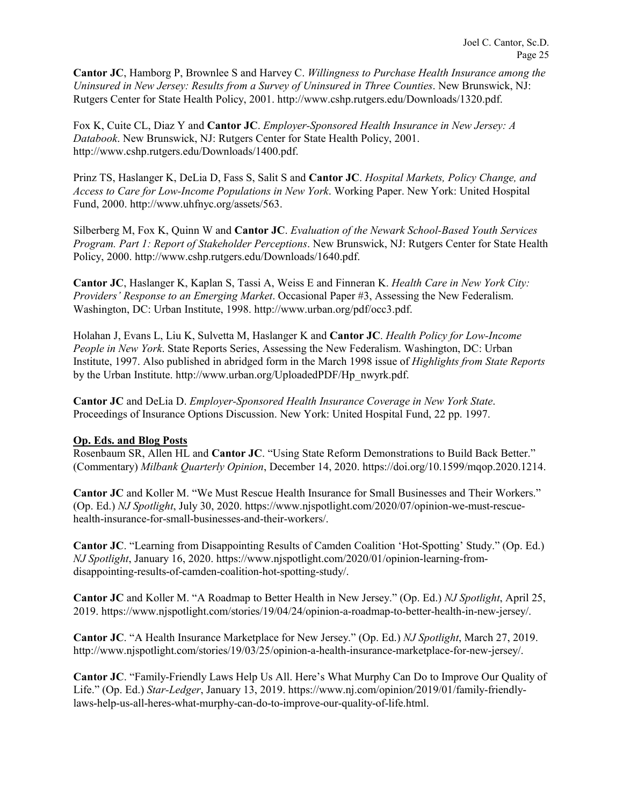**Cantor JC**, Hamborg P, Brownlee S and Harvey C. *Willingness to Purchase Health Insurance among the Uninsured in New Jersey: Results from a Survey of Uninsured in Three Counties*. New Brunswick, NJ: Rutgers Center for State Health Policy, 2001. http://www.cshp.rutgers.edu/Downloads/1320.pdf.

Fox K, Cuite CL, Diaz Y and **Cantor JC**. *Employer-Sponsored Health Insurance in New Jersey: A Databook*. New Brunswick, NJ: Rutgers Center for State Health Policy, 2001. http://www.cshp.rutgers.edu/Downloads/1400.pdf.

Prinz TS, Haslanger K, DeLia D, Fass S, Salit S and **Cantor JC**. *Hospital Markets, Policy Change, and Access to Care for Low-Income Populations in New York*. Working Paper. New York: United Hospital Fund, 2000. http://www.uhfnyc.org/assets/563.

Silberberg M, Fox K, Quinn W and **Cantor JC**. *Evaluation of the Newark School-Based Youth Services Program. Part 1: Report of Stakeholder Perceptions*. New Brunswick, NJ: Rutgers Center for State Health Policy, 2000. http://www.cshp.rutgers.edu/Downloads/1640.pdf.

**Cantor JC**, Haslanger K, Kaplan S, Tassi A, Weiss E and Finneran K. *Health Care in New York City: Providers' Response to an Emerging Market*. Occasional Paper #3, Assessing the New Federalism. Washington, DC: Urban Institute, 1998. http://www.urban.org/pdf/occ3.pdf.

Holahan J, Evans L, Liu K, Sulvetta M, Haslanger K and **Cantor JC**. *Health Policy for Low-Income People in New York*. State Reports Series, Assessing the New Federalism. Washington, DC: Urban Institute, 1997. Also published in abridged form in the March 1998 issue of *Highlights from State Reports* by the Urban Institute. http://www.urban.org/UploadedPDF/Hp\_nwyrk.pdf.

**Cantor JC** and DeLia D. *Employer-Sponsored Health Insurance Coverage in New York State*. Proceedings of Insurance Options Discussion. New York: United Hospital Fund, 22 pp. 1997.

### **Op. Eds. and Blog Posts**

Rosenbaum SR, Allen HL and **Cantor JC**. "Using State Reform Demonstrations to Build Back Better." (Commentary) *Milbank Quarterly Opinion*, December 14, 2020. https://doi.org/10.1599/mqop.2020.1214.

**Cantor JC** and Koller M. "We Must Rescue Health Insurance for Small Businesses and Their Workers." (Op. Ed.) *NJ Spotlight*, July 30, 2020. https://www.njspotlight.com/2020/07/opinion-we-must-rescuehealth-insurance-for-small-businesses-and-their-workers/.

**Cantor JC**. "Learning from Disappointing Results of Camden Coalition 'Hot-Spotting' Study." (Op. Ed.) *NJ Spotlight*, January 16, 2020. https://www.njspotlight.com/2020/01/opinion-learning-fromdisappointing-results-of-camden-coalition-hot-spotting-study/.

**Cantor JC** and Koller M. "A Roadmap to Better Health in New Jersey." (Op. Ed.) *NJ Spotlight*, April 25, 2019. https://www.njspotlight.com/stories/19/04/24/opinion-a-roadmap-to-better-health-in-new-jersey/.

**Cantor JC**. "A Health Insurance Marketplace for New Jersey." (Op. Ed.) *NJ Spotlight*, March 27, 2019. http://www.njspotlight.com/stories/19/03/25/opinion-a-health-insurance-marketplace-for-new-jersey/.

**Cantor JC**. "Family-Friendly Laws Help Us All. Here's What Murphy Can Do to Improve Our Quality of Life." (Op. Ed.) *Star-Ledger*, January 13, 2019. https://www.nj.com/opinion/2019/01/family-friendlylaws-help-us-all-heres-what-murphy-can-do-to-improve-our-quality-of-life.html.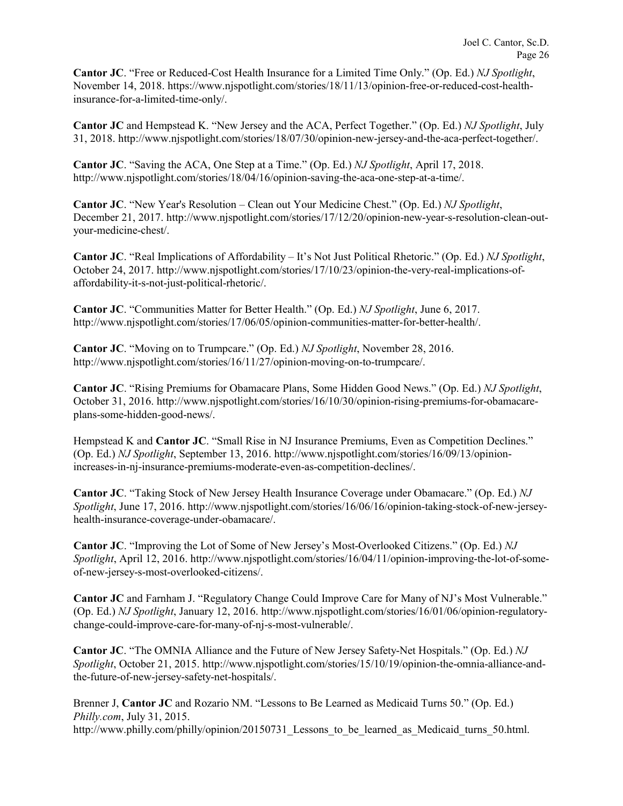**Cantor JC**. "Free or Reduced-Cost Health Insurance for a Limited Time Only." (Op. Ed.) *NJ Spotlight*, November 14, 2018. https://www.njspotlight.com/stories/18/11/13/opinion-free-or-reduced-cost-healthinsurance-for-a-limited-time-only/.

**Cantor JC** and Hempstead K. "New Jersey and the ACA, Perfect Together." (Op. Ed.) *NJ Spotlight*, July 31, 2018. http://www.njspotlight.com/stories/18/07/30/opinion-new-jersey-and-the-aca-perfect-together/.

**Cantor JC**. "Saving the ACA, One Step at a Time." (Op. Ed.) *NJ Spotlight*, April 17, 2018. http://www.njspotlight.com/stories/18/04/16/opinion-saving-the-aca-one-step-at-a-time/.

**Cantor JC**. "New Year's Resolution – Clean out Your Medicine Chest." (Op. Ed.) *NJ Spotlight*, December 21, 2017. http://www.njspotlight.com/stories/17/12/20/opinion-new-year-s-resolution-clean-outyour-medicine-chest/.

**Cantor JC**. "Real Implications of Affordability – It's Not Just Political Rhetoric." (Op. Ed.) *NJ Spotlight*, October 24, 2017. http://www.njspotlight.com/stories/17/10/23/opinion-the-very-real-implications-ofaffordability-it-s-not-just-political-rhetoric/.

**Cantor JC**. "Communities Matter for Better Health." (Op. Ed.) *NJ Spotlight*, June 6, 2017. http://www.njspotlight.com/stories/17/06/05/opinion-communities-matter-for-better-health/.

**Cantor JC**. "Moving on to Trumpcare." (Op. Ed.) *NJ Spotlight*, November 28, 2016. http://www.njspotlight.com/stories/16/11/27/opinion-moving-on-to-trumpcare/.

**Cantor JC**. "Rising Premiums for Obamacare Plans, Some Hidden Good News." (Op. Ed.) *NJ Spotlight*, October 31, 2016. http://www.njspotlight.com/stories/16/10/30/opinion-rising-premiums-for-obamacareplans-some-hidden-good-news/.

Hempstead K and **Cantor JC**. "Small Rise in NJ Insurance Premiums, Even as Competition Declines." (Op. Ed.) *NJ Spotlight*, September 13, 2016. http://www.njspotlight.com/stories/16/09/13/opinionincreases-in-nj-insurance-premiums-moderate-even-as-competition-declines/.

**Cantor JC**. "Taking Stock of New Jersey Health Insurance Coverage under Obamacare." (Op. Ed.) *NJ Spotlight*, June 17, 2016. http://www.njspotlight.com/stories/16/06/16/opinion-taking-stock-of-new-jerseyhealth-insurance-coverage-under-obamacare/.

**Cantor JC**. "Improving the Lot of Some of New Jersey's Most-Overlooked Citizens." (Op. Ed.) *NJ Spotlight*, April 12, 2016. http://www.njspotlight.com/stories/16/04/11/opinion-improving-the-lot-of-someof-new-jersey-s-most-overlooked-citizens/.

**Cantor JC** and Farnham J. "Regulatory Change Could Improve Care for Many of NJ's Most Vulnerable." (Op. Ed.) *NJ Spotlight*, January 12, 2016. http://www.njspotlight.com/stories/16/01/06/opinion-regulatorychange-could-improve-care-for-many-of-nj-s-most-vulnerable/.

**Cantor JC**. "The OMNIA Alliance and the Future of New Jersey Safety-Net Hospitals." (Op. Ed.) *NJ Spotlight*, October 21, 2015. http://www.njspotlight.com/stories/15/10/19/opinion-the-omnia-alliance-andthe-future-of-new-jersey-safety-net-hospitals/.

Brenner J, **Cantor JC** and Rozario NM. "Lessons to Be Learned as Medicaid Turns 50." (Op. Ed.) *Philly.com*, July 31, 2015. http://www.philly.com/philly/opinion/20150731 Lessons to be learned as Medicaid turns 50.html.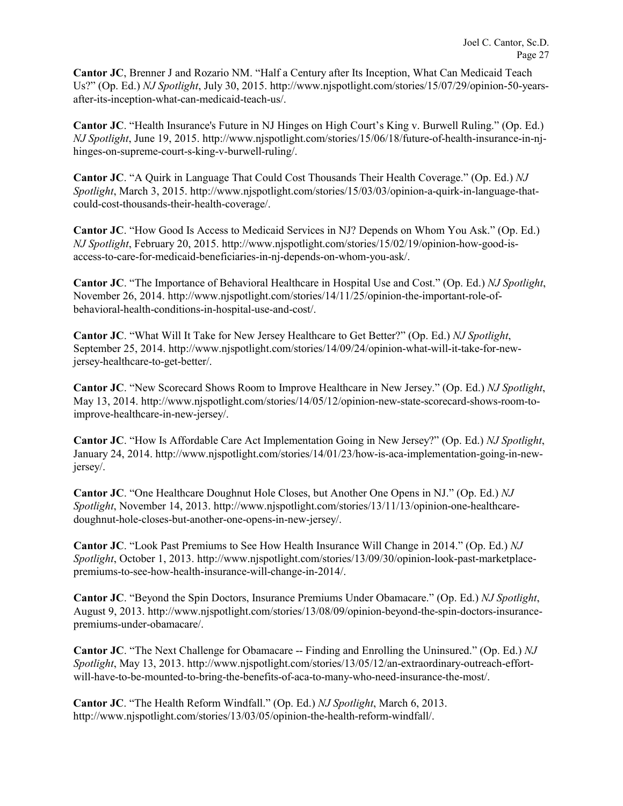**Cantor JC**, Brenner J and Rozario NM. "Half a Century after Its Inception, What Can Medicaid Teach Us?" (Op. Ed.) *NJ Spotlight*, July 30, 2015. http://www.njspotlight.com/stories/15/07/29/opinion-50-yearsafter-its-inception-what-can-medicaid-teach-us/.

**Cantor JC**. "Health Insurance's Future in NJ Hinges on High Court's King v. Burwell Ruling." (Op. Ed.) *NJ Spotlight*, June 19, 2015. http://www.njspotlight.com/stories/15/06/18/future-of-health-insurance-in-njhinges-on-supreme-court-s-king-v-burwell-ruling/.

**Cantor JC**. "A Quirk in Language That Could Cost Thousands Their Health Coverage." (Op. Ed.) *NJ Spotlight*, March 3, 2015. http://www.njspotlight.com/stories/15/03/03/opinion-a-quirk-in-language-thatcould-cost-thousands-their-health-coverage/.

**Cantor JC**. "How Good Is Access to Medicaid Services in NJ? Depends on Whom You Ask." (Op. Ed.) *NJ Spotlight*, February 20, 2015. http://www.njspotlight.com/stories/15/02/19/opinion-how-good-isaccess-to-care-for-medicaid-beneficiaries-in-nj-depends-on-whom-you-ask/.

**Cantor JC**. "The Importance of Behavioral Healthcare in Hospital Use and Cost." (Op. Ed.) *NJ Spotlight*, November 26, 2014. http://www.njspotlight.com/stories/14/11/25/opinion-the-important-role-ofbehavioral-health-conditions-in-hospital-use-and-cost/.

**Cantor JC**. "What Will It Take for New Jersey Healthcare to Get Better?" (Op. Ed.) *NJ Spotlight*, September 25, 2014. http://www.njspotlight.com/stories/14/09/24/opinion-what-will-it-take-for-newjersey-healthcare-to-get-better/.

**Cantor JC**. "New Scorecard Shows Room to Improve Healthcare in New Jersey." (Op. Ed.) *NJ Spotlight*, May 13, 2014. http://www.njspotlight.com/stories/14/05/12/opinion-new-state-scorecard-shows-room-toimprove-healthcare-in-new-jersey/.

**Cantor JC**. "How Is Affordable Care Act Implementation Going in New Jersey?" (Op. Ed.) *NJ Spotlight*, January 24, 2014. http://www.njspotlight.com/stories/14/01/23/how-is-aca-implementation-going-in-newjersey/.

**Cantor JC**. "One Healthcare Doughnut Hole Closes, but Another One Opens in NJ." (Op. Ed.) *NJ Spotlight*, November 14, 2013. http://www.njspotlight.com/stories/13/11/13/opinion-one-healthcaredoughnut-hole-closes-but-another-one-opens-in-new-jersey/.

**Cantor JC**. "Look Past Premiums to See How Health Insurance Will Change in 2014." (Op. Ed.) *NJ Spotlight*, October 1, 2013. http://www.njspotlight.com/stories/13/09/30/opinion-look-past-marketplacepremiums-to-see-how-health-insurance-will-change-in-2014/.

**Cantor JC**. "Beyond the Spin Doctors, Insurance Premiums Under Obamacare." (Op. Ed.) *NJ Spotlight*, August 9, 2013. http://www.njspotlight.com/stories/13/08/09/opinion-beyond-the-spin-doctors-insurancepremiums-under-obamacare/.

**Cantor JC**. "The Next Challenge for Obamacare -- Finding and Enrolling the Uninsured." (Op. Ed.) *NJ Spotlight*, May 13, 2013. http://www.njspotlight.com/stories/13/05/12/an-extraordinary-outreach-effortwill-have-to-be-mounted-to-bring-the-benefits-of-aca-to-many-who-need-insurance-the-most/.

**Cantor JC**. "The Health Reform Windfall." (Op. Ed.) *NJ Spotlight*, March 6, 2013. http://www.njspotlight.com/stories/13/03/05/opinion-the-health-reform-windfall/.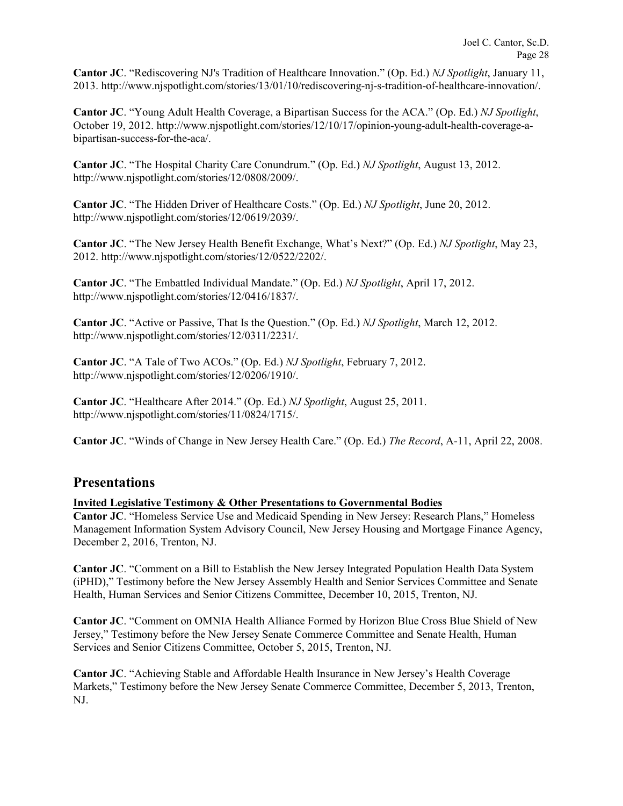**Cantor JC**. "Rediscovering NJ's Tradition of Healthcare Innovation." (Op. Ed.) *NJ Spotlight*, January 11, 2013. http://www.njspotlight.com/stories/13/01/10/rediscovering-nj-s-tradition-of-healthcare-innovation/.

**Cantor JC**. "Young Adult Health Coverage, a Bipartisan Success for the ACA." (Op. Ed.) *NJ Spotlight*, October 19, 2012. http://www.njspotlight.com/stories/12/10/17/opinion-young-adult-health-coverage-abipartisan-success-for-the-aca/.

**Cantor JC**. "The Hospital Charity Care Conundrum." (Op. Ed.) *NJ Spotlight*, August 13, 2012. http://www.njspotlight.com/stories/12/0808/2009/.

**Cantor JC**. "The Hidden Driver of Healthcare Costs." (Op. Ed.) *NJ Spotlight*, June 20, 2012. http://www.njspotlight.com/stories/12/0619/2039/.

**Cantor JC**. "The New Jersey Health Benefit Exchange, What's Next?" (Op. Ed.) *NJ Spotlight*, May 23, 2012. http://www.njspotlight.com/stories/12/0522/2202/.

**Cantor JC**. "The Embattled Individual Mandate." (Op. Ed.) *NJ Spotlight*, April 17, 2012. http://www.njspotlight.com/stories/12/0416/1837/.

**Cantor JC**. "Active or Passive, That Is the Question." (Op. Ed.) *NJ Spotlight*, March 12, 2012. http://www.njspotlight.com/stories/12/0311/2231/.

**Cantor JC**. "A Tale of Two ACOs." (Op. Ed.) *NJ Spotlight*, February 7, 2012. http://www.njspotlight.com/stories/12/0206/1910/.

**Cantor JC**. "Healthcare After 2014." (Op. Ed.) *NJ Spotlight*, August 25, 2011. http://www.njspotlight.com/stories/11/0824/1715/.

**Cantor JC**. "Winds of Change in New Jersey Health Care." (Op. Ed.) *The Record*, A-11, April 22, 2008.

## **Presentations**

### **Invited Legislative Testimony & Other Presentations to Governmental Bodies**

**Cantor JC**. "Homeless Service Use and Medicaid Spending in New Jersey: Research Plans," Homeless Management Information System Advisory Council, New Jersey Housing and Mortgage Finance Agency, December 2, 2016, Trenton, NJ.

**Cantor JC**. "Comment on a Bill to Establish the New Jersey Integrated Population Health Data System (iPHD)," Testimony before the New Jersey Assembly Health and Senior Services Committee and Senate Health, Human Services and Senior Citizens Committee, December 10, 2015, Trenton, NJ.

**Cantor JC**. "Comment on OMNIA Health Alliance Formed by Horizon Blue Cross Blue Shield of New Jersey," Testimony before the New Jersey Senate Commerce Committee and Senate Health, Human Services and Senior Citizens Committee, October 5, 2015, Trenton, NJ.

**Cantor JC**. "Achieving Stable and Affordable Health Insurance in New Jersey's Health Coverage Markets," Testimony before the New Jersey Senate Commerce Committee, December 5, 2013, Trenton, NJ.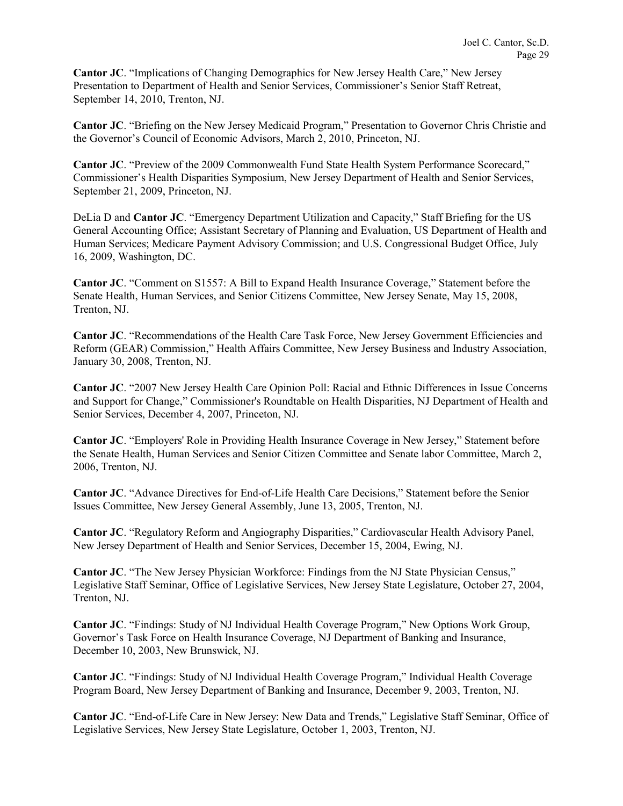**Cantor JC**. "Implications of Changing Demographics for New Jersey Health Care," New Jersey Presentation to Department of Health and Senior Services, Commissioner's Senior Staff Retreat, September 14, 2010, Trenton, NJ.

**Cantor JC**. "Briefing on the New Jersey Medicaid Program," Presentation to Governor Chris Christie and the Governor's Council of Economic Advisors, March 2, 2010, Princeton, NJ.

**Cantor JC**. "Preview of the 2009 Commonwealth Fund State Health System Performance Scorecard," Commissioner's Health Disparities Symposium, New Jersey Department of Health and Senior Services, September 21, 2009, Princeton, NJ.

DeLia D and **Cantor JC**. "Emergency Department Utilization and Capacity," Staff Briefing for the US General Accounting Office; Assistant Secretary of Planning and Evaluation, US Department of Health and Human Services; Medicare Payment Advisory Commission; and U.S. Congressional Budget Office, July 16, 2009, Washington, DC.

**Cantor JC**. "Comment on S1557: A Bill to Expand Health Insurance Coverage," Statement before the Senate Health, Human Services, and Senior Citizens Committee, New Jersey Senate, May 15, 2008, Trenton, NJ.

**Cantor JC**. "Recommendations of the Health Care Task Force, New Jersey Government Efficiencies and Reform (GEAR) Commission," Health Affairs Committee, New Jersey Business and Industry Association, January 30, 2008, Trenton, NJ.

**Cantor JC**. "2007 New Jersey Health Care Opinion Poll: Racial and Ethnic Differences in Issue Concerns and Support for Change," Commissioner's Roundtable on Health Disparities, NJ Department of Health and Senior Services, December 4, 2007, Princeton, NJ.

**Cantor JC**. "Employers' Role in Providing Health Insurance Coverage in New Jersey," Statement before the Senate Health, Human Services and Senior Citizen Committee and Senate labor Committee, March 2, 2006, Trenton, NJ.

**Cantor JC**. "Advance Directives for End-of-Life Health Care Decisions," Statement before the Senior Issues Committee, New Jersey General Assembly, June 13, 2005, Trenton, NJ.

**Cantor JC**. "Regulatory Reform and Angiography Disparities," Cardiovascular Health Advisory Panel, New Jersey Department of Health and Senior Services, December 15, 2004, Ewing, NJ.

**Cantor JC.** "The New Jersey Physician Workforce: Findings from the NJ State Physician Census," Legislative Staff Seminar, Office of Legislative Services, New Jersey State Legislature, October 27, 2004, Trenton, NJ.

**Cantor JC**. "Findings: Study of NJ Individual Health Coverage Program," New Options Work Group, Governor's Task Force on Health Insurance Coverage, NJ Department of Banking and Insurance, December 10, 2003, New Brunswick, NJ.

**Cantor JC**. "Findings: Study of NJ Individual Health Coverage Program," Individual Health Coverage Program Board, New Jersey Department of Banking and Insurance, December 9, 2003, Trenton, NJ.

**Cantor JC**. "End-of-Life Care in New Jersey: New Data and Trends," Legislative Staff Seminar, Office of Legislative Services, New Jersey State Legislature, October 1, 2003, Trenton, NJ.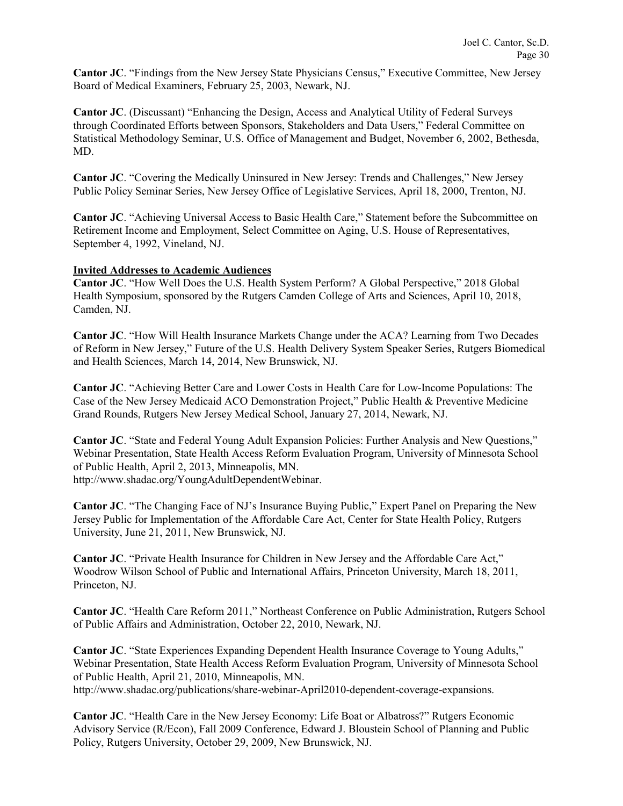**Cantor JC**. "Findings from the New Jersey State Physicians Census," Executive Committee, New Jersey Board of Medical Examiners, February 25, 2003, Newark, NJ.

**Cantor JC**. (Discussant) "Enhancing the Design, Access and Analytical Utility of Federal Surveys through Coordinated Efforts between Sponsors, Stakeholders and Data Users," Federal Committee on Statistical Methodology Seminar, U.S. Office of Management and Budget, November 6, 2002, Bethesda, MD.

**Cantor JC**. "Covering the Medically Uninsured in New Jersey: Trends and Challenges," New Jersey Public Policy Seminar Series, New Jersey Office of Legislative Services, April 18, 2000, Trenton, NJ.

**Cantor JC**. "Achieving Universal Access to Basic Health Care," Statement before the Subcommittee on Retirement Income and Employment, Select Committee on Aging, U.S. House of Representatives, September 4, 1992, Vineland, NJ.

### **Invited Addresses to Academic Audiences**

**Cantor JC**. "How Well Does the U.S. Health System Perform? A Global Perspective," 2018 Global Health Symposium, sponsored by the Rutgers Camden College of Arts and Sciences, April 10, 2018, Camden, NJ.

**Cantor JC**. "How Will Health Insurance Markets Change under the ACA? Learning from Two Decades of Reform in New Jersey," Future of the U.S. Health Delivery System Speaker Series, Rutgers Biomedical and Health Sciences, March 14, 2014, New Brunswick, NJ.

**Cantor JC**. "Achieving Better Care and Lower Costs in Health Care for Low-Income Populations: The Case of the New Jersey Medicaid ACO Demonstration Project," Public Health & Preventive Medicine Grand Rounds, Rutgers New Jersey Medical School, January 27, 2014, Newark, NJ.

**Cantor JC**. "State and Federal Young Adult Expansion Policies: Further Analysis and New Questions," Webinar Presentation, State Health Access Reform Evaluation Program, University of Minnesota School of Public Health, April 2, 2013, Minneapolis, MN. http://www.shadac.org/YoungAdultDependentWebinar.

**Cantor JC**. "The Changing Face of NJ's Insurance Buying Public," Expert Panel on Preparing the New Jersey Public for Implementation of the Affordable Care Act, Center for State Health Policy, Rutgers University, June 21, 2011, New Brunswick, NJ.

**Cantor JC**. "Private Health Insurance for Children in New Jersey and the Affordable Care Act," Woodrow Wilson School of Public and International Affairs, Princeton University, March 18, 2011, Princeton, NJ.

**Cantor JC**. "Health Care Reform 2011," Northeast Conference on Public Administration, Rutgers School of Public Affairs and Administration, October 22, 2010, Newark, NJ.

**Cantor JC**. "State Experiences Expanding Dependent Health Insurance Coverage to Young Adults," Webinar Presentation, State Health Access Reform Evaluation Program, University of Minnesota School of Public Health, April 21, 2010, Minneapolis, MN.

http://www.shadac.org/publications/share-webinar-April2010-dependent-coverage-expansions.

**Cantor JC**. "Health Care in the New Jersey Economy: Life Boat or Albatross?" Rutgers Economic Advisory Service (R/Econ), Fall 2009 Conference, Edward J. Bloustein School of Planning and Public Policy, Rutgers University, October 29, 2009, New Brunswick, NJ.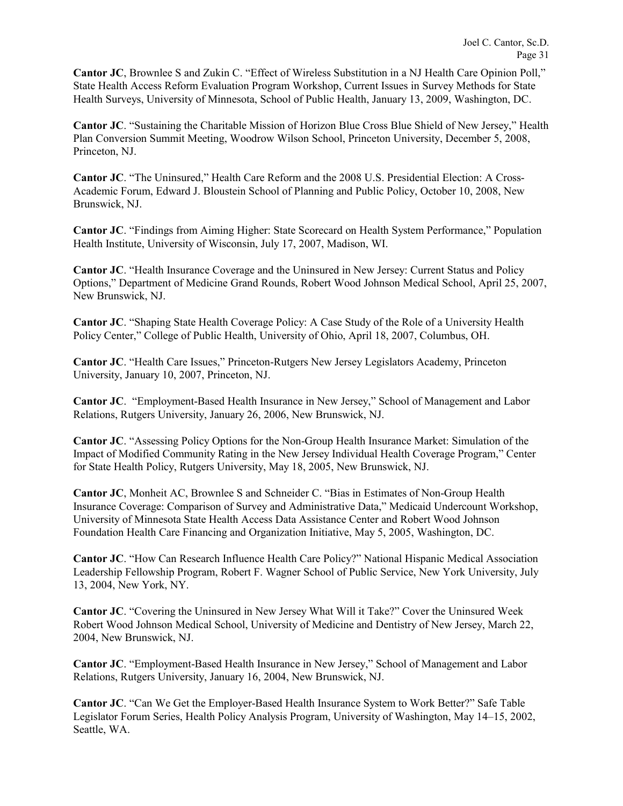**Cantor JC**, Brownlee S and Zukin C. "Effect of Wireless Substitution in a NJ Health Care Opinion Poll," State Health Access Reform Evaluation Program Workshop, Current Issues in Survey Methods for State Health Surveys, University of Minnesota, School of Public Health, January 13, 2009, Washington, DC.

**Cantor JC**. "Sustaining the Charitable Mission of Horizon Blue Cross Blue Shield of New Jersey," Health Plan Conversion Summit Meeting, Woodrow Wilson School, Princeton University, December 5, 2008, Princeton, NJ.

**Cantor JC**. "The Uninsured," Health Care Reform and the 2008 U.S. Presidential Election: A Cross-Academic Forum, Edward J. Bloustein School of Planning and Public Policy, October 10, 2008, New Brunswick, NJ.

**Cantor JC**. "Findings from Aiming Higher: State Scorecard on Health System Performance," Population Health Institute, University of Wisconsin, July 17, 2007, Madison, WI.

**Cantor JC**. "Health Insurance Coverage and the Uninsured in New Jersey: Current Status and Policy Options," Department of Medicine Grand Rounds, Robert Wood Johnson Medical School, April 25, 2007, New Brunswick, NJ.

**Cantor JC**. "Shaping State Health Coverage Policy: A Case Study of the Role of a University Health Policy Center," College of Public Health, University of Ohio, April 18, 2007, Columbus, OH.

**Cantor JC**. "Health Care Issues," Princeton-Rutgers New Jersey Legislators Academy, Princeton University, January 10, 2007, Princeton, NJ.

**Cantor JC**. "Employment-Based Health Insurance in New Jersey," School of Management and Labor Relations, Rutgers University, January 26, 2006, New Brunswick, NJ.

**Cantor JC**. "Assessing Policy Options for the Non-Group Health Insurance Market: Simulation of the Impact of Modified Community Rating in the New Jersey Individual Health Coverage Program," Center for State Health Policy, Rutgers University, May 18, 2005, New Brunswick, NJ.

**Cantor JC**, Monheit AC, Brownlee S and Schneider C. "Bias in Estimates of Non-Group Health Insurance Coverage: Comparison of Survey and Administrative Data," Medicaid Undercount Workshop, University of Minnesota State Health Access Data Assistance Center and Robert Wood Johnson Foundation Health Care Financing and Organization Initiative, May 5, 2005, Washington, DC.

**Cantor JC**. "How Can Research Influence Health Care Policy?" National Hispanic Medical Association Leadership Fellowship Program, Robert F. Wagner School of Public Service, New York University, July 13, 2004, New York, NY.

**Cantor JC**. "Covering the Uninsured in New Jersey What Will it Take?" Cover the Uninsured Week Robert Wood Johnson Medical School, University of Medicine and Dentistry of New Jersey, March 22, 2004, New Brunswick, NJ.

**Cantor JC**. "Employment-Based Health Insurance in New Jersey," School of Management and Labor Relations, Rutgers University, January 16, 2004, New Brunswick, NJ.

**Cantor JC**. "Can We Get the Employer-Based Health Insurance System to Work Better?" Safe Table Legislator Forum Series, Health Policy Analysis Program, University of Washington, May 14–15, 2002, Seattle, WA.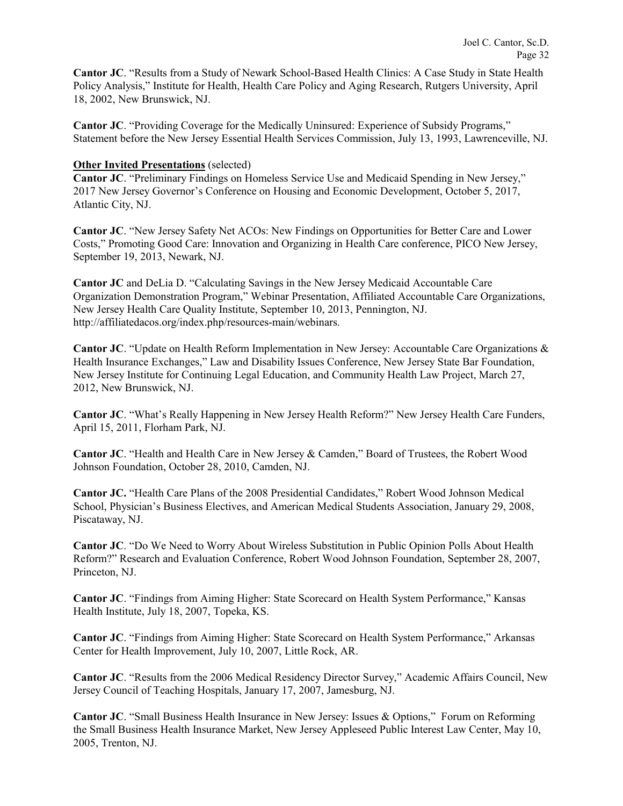**Cantor JC**. "Results from a Study of Newark School-Based Health Clinics: A Case Study in State Health Policy Analysis," Institute for Health, Health Care Policy and Aging Research, Rutgers University, April 18, 2002, New Brunswick, NJ.

**Cantor JC**. "Providing Coverage for the Medically Uninsured: Experience of Subsidy Programs," Statement before the New Jersey Essential Health Services Commission, July 13, 1993, Lawrenceville, NJ.

### **Other Invited Presentations** (selected)

**Cantor JC**. "Preliminary Findings on Homeless Service Use and Medicaid Spending in New Jersey," 2017 New Jersey Governor's Conference on Housing and Economic Development, October 5, 2017, Atlantic City, NJ.

**Cantor JC**. "New Jersey Safety Net ACOs: New Findings on Opportunities for Better Care and Lower Costs," Promoting Good Care: Innovation and Organizing in Health Care conference, PICO New Jersey, September 19, 2013, Newark, NJ.

**Cantor JC** and DeLia D. "Calculating Savings in the New Jersey Medicaid Accountable Care Organization Demonstration Program," Webinar Presentation, Affiliated Accountable Care Organizations, New Jersey Health Care Quality Institute, September 10, 2013, Pennington, NJ. http://affiliatedacos.org/index.php/resources-main/webinars.

**Cantor JC**. "Update on Health Reform Implementation in New Jersey: Accountable Care Organizations & Health Insurance Exchanges," Law and Disability Issues Conference, New Jersey State Bar Foundation, New Jersey Institute for Continuing Legal Education, and Community Health Law Project, March 27, 2012, New Brunswick, NJ.

**Cantor JC**. "What's Really Happening in New Jersey Health Reform?" New Jersey Health Care Funders, April 15, 2011, Florham Park, NJ.

**Cantor JC**. "Health and Health Care in New Jersey & Camden," Board of Trustees, the Robert Wood Johnson Foundation, October 28, 2010, Camden, NJ.

**Cantor JC.** "Health Care Plans of the 2008 Presidential Candidates," Robert Wood Johnson Medical School, Physician's Business Electives, and American Medical Students Association, January 29, 2008, Piscataway, NJ.

**Cantor JC**. "Do We Need to Worry About Wireless Substitution in Public Opinion Polls About Health Reform?" Research and Evaluation Conference, Robert Wood Johnson Foundation, September 28, 2007, Princeton, NJ.

**Cantor JC**. "Findings from Aiming Higher: State Scorecard on Health System Performance," Kansas Health Institute, July 18, 2007, Topeka, KS.

**Cantor JC**. "Findings from Aiming Higher: State Scorecard on Health System Performance," Arkansas Center for Health Improvement, July 10, 2007, Little Rock, AR.

**Cantor JC**. "Results from the 2006 Medical Residency Director Survey," Academic Affairs Council, New Jersey Council of Teaching Hospitals, January 17, 2007, Jamesburg, NJ.

**Cantor JC**. "Small Business Health Insurance in New Jersey: Issues & Options," Forum on Reforming the Small Business Health Insurance Market, New Jersey Appleseed Public Interest Law Center, May 10, 2005, Trenton, NJ.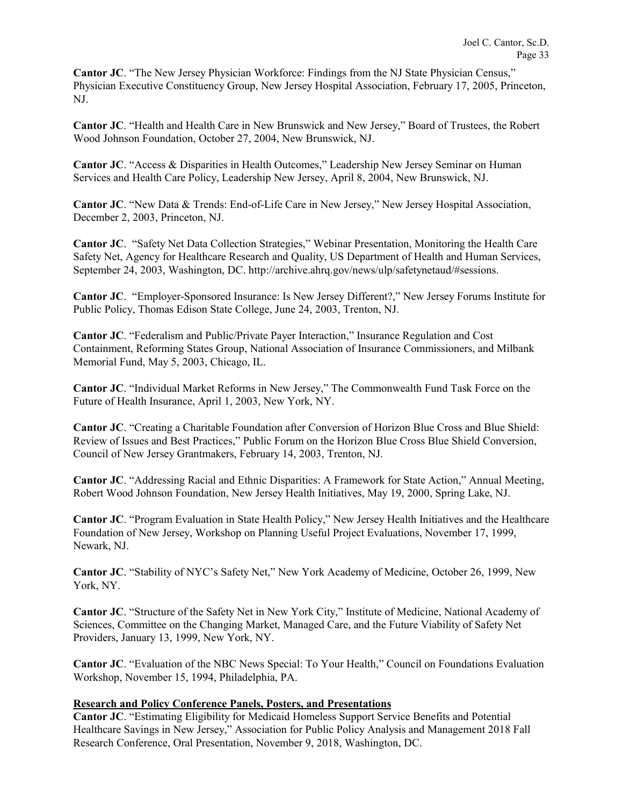**Cantor JC.** "The New Jersey Physician Workforce: Findings from the NJ State Physician Census," Physician Executive Constituency Group, New Jersey Hospital Association, February 17, 2005, Princeton, NJ.

**Cantor JC**. "Health and Health Care in New Brunswick and New Jersey," Board of Trustees, the Robert Wood Johnson Foundation, October 27, 2004, New Brunswick, NJ.

**Cantor JC**. "Access & Disparities in Health Outcomes," Leadership New Jersey Seminar on Human Services and Health Care Policy, Leadership New Jersey, April 8, 2004, New Brunswick, NJ.

**Cantor JC**. "New Data & Trends: End-of-Life Care in New Jersey," New Jersey Hospital Association, December 2, 2003, Princeton, NJ.

**Cantor JC**. "Safety Net Data Collection Strategies," Webinar Presentation, Monitoring the Health Care Safety Net, Agency for Healthcare Research and Quality, US Department of Health and Human Services, September 24, 2003, Washington, DC. http://archive.ahrq.gov/news/ulp/safetynetaud/#sessions.

**Cantor JC**. "Employer-Sponsored Insurance: Is New Jersey Different?," New Jersey Forums Institute for Public Policy, Thomas Edison State College, June 24, 2003, Trenton, NJ.

**Cantor JC**. "Federalism and Public/Private Payer Interaction," Insurance Regulation and Cost Containment, Reforming States Group, National Association of Insurance Commissioners, and Milbank Memorial Fund, May 5, 2003, Chicago, IL.

**Cantor JC**. "Individual Market Reforms in New Jersey," The Commonwealth Fund Task Force on the Future of Health Insurance, April 1, 2003, New York, NY.

**Cantor JC**. "Creating a Charitable Foundation after Conversion of Horizon Blue Cross and Blue Shield: Review of Issues and Best Practices," Public Forum on the Horizon Blue Cross Blue Shield Conversion, Council of New Jersey Grantmakers, February 14, 2003, Trenton, NJ.

**Cantor JC**. "Addressing Racial and Ethnic Disparities: A Framework for State Action," Annual Meeting, Robert Wood Johnson Foundation, New Jersey Health Initiatives, May 19, 2000, Spring Lake, NJ.

**Cantor JC**. "Program Evaluation in State Health Policy," New Jersey Health Initiatives and the Healthcare Foundation of New Jersey, Workshop on Planning Useful Project Evaluations, November 17, 1999, Newark, NJ.

**Cantor JC**. "Stability of NYC's Safety Net," New York Academy of Medicine, October 26, 1999, New York, NY.

**Cantor JC**. "Structure of the Safety Net in New York City," Institute of Medicine, National Academy of Sciences, Committee on the Changing Market, Managed Care, and the Future Viability of Safety Net Providers, January 13, 1999, New York, NY.

**Cantor JC**. "Evaluation of the NBC News Special: To Your Health," Council on Foundations Evaluation Workshop, November 15, 1994, Philadelphia, PA.

### **Research and Policy Conference Panels, Posters, and Presentations**

**Cantor JC**. "Estimating Eligibility for Medicaid Homeless Support Service Benefits and Potential Healthcare Savings in New Jersey," Association for Public Policy Analysis and Management 2018 Fall Research Conference, Oral Presentation, November 9, 2018, Washington, DC.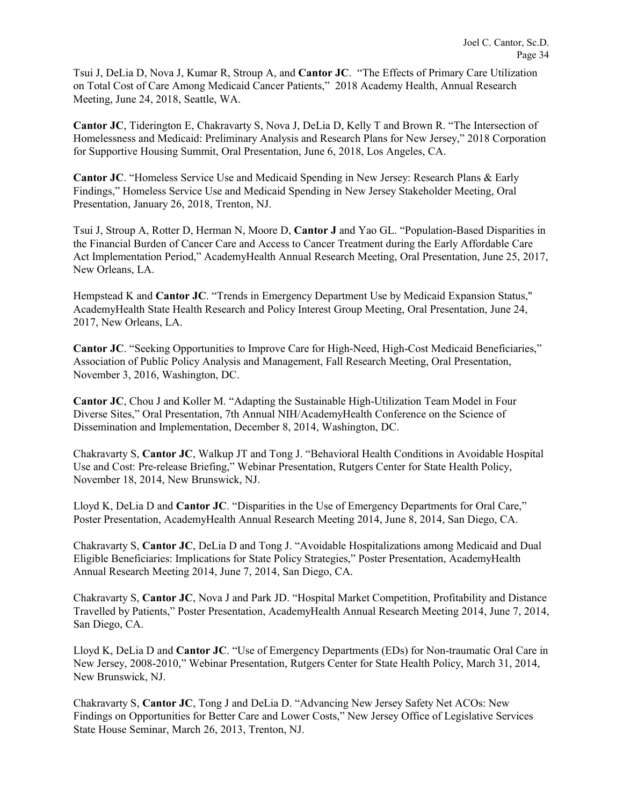Tsui J, DeLia D, Nova J, Kumar R, Stroup A, and **Cantor JC**. "The Effects of Primary Care Utilization on Total Cost of Care Among Medicaid Cancer Patients," 2018 Academy Health, Annual Research Meeting, June 24, 2018, Seattle, WA.

**Cantor JC**, Tiderington E, Chakravarty S, Nova J, DeLia D, Kelly T and Brown R. "The Intersection of Homelessness and Medicaid: Preliminary Analysis and Research Plans for New Jersey," 2018 Corporation for Supportive Housing Summit, Oral Presentation, June 6, 2018, Los Angeles, CA.

**Cantor JC**. "Homeless Service Use and Medicaid Spending in New Jersey: Research Plans & Early Findings," Homeless Service Use and Medicaid Spending in New Jersey Stakeholder Meeting, Oral Presentation, January 26, 2018, Trenton, NJ.

Tsui J, Stroup A, Rotter D, Herman N, Moore D, **Cantor J** and Yao GL. "Population-Based Disparities in the Financial Burden of Cancer Care and Access to Cancer Treatment during the Early Affordable Care Act Implementation Period," AcademyHealth Annual Research Meeting, Oral Presentation, June 25, 2017, New Orleans, LA.

Hempstead K and **Cantor JC**. "Trends in Emergency Department Use by Medicaid Expansion Status," AcademyHealth State Health Research and Policy Interest Group Meeting, Oral Presentation, June 24, 2017, New Orleans, LA.

**Cantor JC**. "Seeking Opportunities to Improve Care for High-Need, High-Cost Medicaid Beneficiaries," Association of Public Policy Analysis and Management, Fall Research Meeting, Oral Presentation, November 3, 2016, Washington, DC.

**Cantor JC**, Chou J and Koller M. "Adapting the Sustainable High-Utilization Team Model in Four Diverse Sites," Oral Presentation, 7th Annual NIH/AcademyHealth Conference on the Science of Dissemination and Implementation, December 8, 2014, Washington, DC.

Chakravarty S, **Cantor JC**, Walkup JT and Tong J. "Behavioral Health Conditions in Avoidable Hospital Use and Cost: Pre-release Briefing," Webinar Presentation, Rutgers Center for State Health Policy, November 18, 2014, New Brunswick, NJ.

Lloyd K, DeLia D and **Cantor JC**. "Disparities in the Use of Emergency Departments for Oral Care," Poster Presentation, AcademyHealth Annual Research Meeting 2014, June 8, 2014, San Diego, CA.

Chakravarty S, **Cantor JC**, DeLia D and Tong J. "Avoidable Hospitalizations among Medicaid and Dual Eligible Beneficiaries: Implications for State Policy Strategies," Poster Presentation, AcademyHealth Annual Research Meeting 2014, June 7, 2014, San Diego, CA.

Chakravarty S, **Cantor JC**, Nova J and Park JD. "Hospital Market Competition, Profitability and Distance Travelled by Patients," Poster Presentation, AcademyHealth Annual Research Meeting 2014, June 7, 2014, San Diego, CA.

Lloyd K, DeLia D and **Cantor JC**. "Use of Emergency Departments (EDs) for Non-traumatic Oral Care in New Jersey, 2008-2010," Webinar Presentation, Rutgers Center for State Health Policy, March 31, 2014, New Brunswick, NJ.

Chakravarty S, **Cantor JC**, Tong J and DeLia D. "Advancing New Jersey Safety Net ACOs: New Findings on Opportunities for Better Care and Lower Costs," New Jersey Office of Legislative Services State House Seminar, March 26, 2013, Trenton, NJ.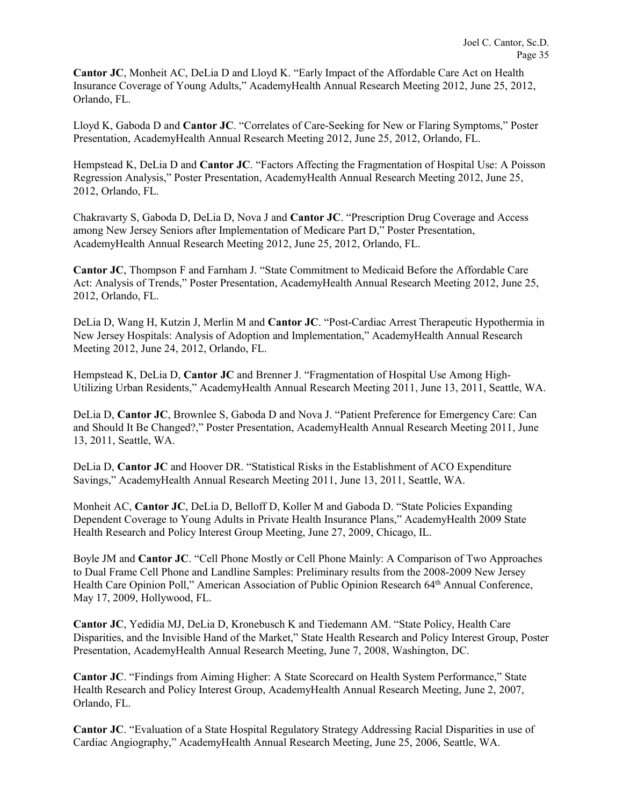**Cantor JC**, Monheit AC, DeLia D and Lloyd K. "Early Impact of the Affordable Care Act on Health Insurance Coverage of Young Adults," AcademyHealth Annual Research Meeting 2012, June 25, 2012, Orlando, FL.

Lloyd K, Gaboda D and **Cantor JC**. "Correlates of Care-Seeking for New or Flaring Symptoms," Poster Presentation, AcademyHealth Annual Research Meeting 2012, June 25, 2012, Orlando, FL.

Hempstead K, DeLia D and **Cantor JC**. "Factors Affecting the Fragmentation of Hospital Use: A Poisson Regression Analysis," Poster Presentation, AcademyHealth Annual Research Meeting 2012, June 25, 2012, Orlando, FL.

Chakravarty S, Gaboda D, DeLia D, Nova J and **Cantor JC**. "Prescription Drug Coverage and Access among New Jersey Seniors after Implementation of Medicare Part D," Poster Presentation, AcademyHealth Annual Research Meeting 2012, June 25, 2012, Orlando, FL.

**Cantor JC**, Thompson F and Farnham J. "State Commitment to Medicaid Before the Affordable Care Act: Analysis of Trends," Poster Presentation, AcademyHealth Annual Research Meeting 2012, June 25, 2012, Orlando, FL.

DeLia D, Wang H, Kutzin J, Merlin M and **Cantor JC**. "Post-Cardiac Arrest Therapeutic Hypothermia in New Jersey Hospitals: Analysis of Adoption and Implementation," AcademyHealth Annual Research Meeting 2012, June 24, 2012, Orlando, FL.

Hempstead K, DeLia D, **Cantor JC** and Brenner J. "Fragmentation of Hospital Use Among High-Utilizing Urban Residents," AcademyHealth Annual Research Meeting 2011, June 13, 2011, Seattle, WA.

DeLia D, **Cantor JC**, Brownlee S, Gaboda D and Nova J. "Patient Preference for Emergency Care: Can and Should It Be Changed?," Poster Presentation, AcademyHealth Annual Research Meeting 2011, June 13, 2011, Seattle, WA.

DeLia D, **Cantor JC** and Hoover DR. "Statistical Risks in the Establishment of ACO Expenditure Savings," AcademyHealth Annual Research Meeting 2011, June 13, 2011, Seattle, WA.

Monheit AC, **Cantor JC**, DeLia D, Belloff D, Koller M and Gaboda D. "State Policies Expanding Dependent Coverage to Young Adults in Private Health Insurance Plans," AcademyHealth 2009 State Health Research and Policy Interest Group Meeting, June 27, 2009, Chicago, IL.

Boyle JM and **Cantor JC**. "Cell Phone Mostly or Cell Phone Mainly: A Comparison of Two Approaches to Dual Frame Cell Phone and Landline Samples: Preliminary results from the 2008-2009 New Jersey Health Care Opinion Poll," American Association of Public Opinion Research 64th Annual Conference, May 17, 2009, Hollywood, FL.

**Cantor JC**, Yedidia MJ, DeLia D, Kronebusch K and Tiedemann AM. "State Policy, Health Care Disparities, and the Invisible Hand of the Market," State Health Research and Policy Interest Group, Poster Presentation, AcademyHealth Annual Research Meeting, June 7, 2008, Washington, DC.

**Cantor JC**. "Findings from Aiming Higher: A State Scorecard on Health System Performance," State Health Research and Policy Interest Group, AcademyHealth Annual Research Meeting, June 2, 2007, Orlando, FL.

**Cantor JC**. "Evaluation of a State Hospital Regulatory Strategy Addressing Racial Disparities in use of Cardiac Angiography," AcademyHealth Annual Research Meeting, June 25, 2006, Seattle, WA.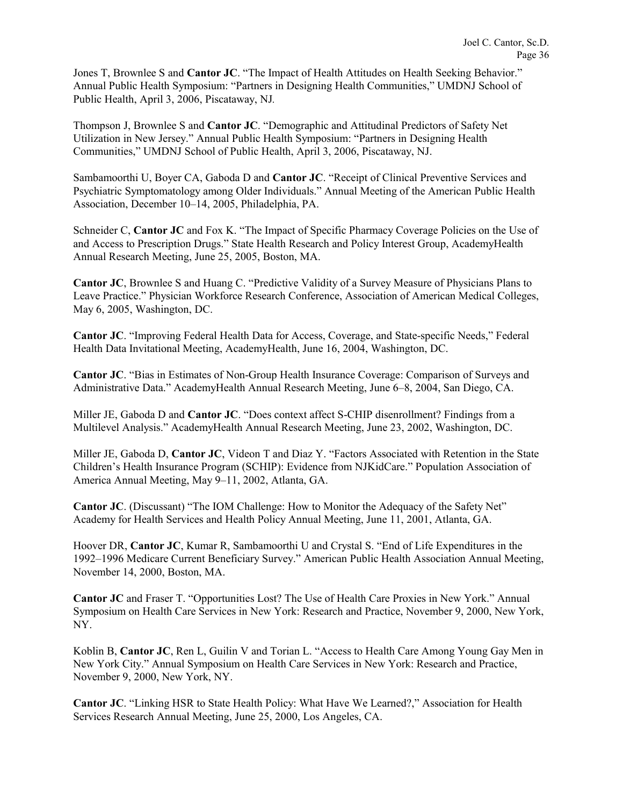Jones T, Brownlee S and **Cantor JC**. "The Impact of Health Attitudes on Health Seeking Behavior." Annual Public Health Symposium: "Partners in Designing Health Communities," UMDNJ School of Public Health, April 3, 2006, Piscataway, NJ*.*

Thompson J, Brownlee S and **Cantor JC**. "Demographic and Attitudinal Predictors of Safety Net Utilization in New Jersey." Annual Public Health Symposium: "Partners in Designing Health Communities," UMDNJ School of Public Health, April 3, 2006, Piscataway, NJ.

Sambamoorthi U, Boyer CA, Gaboda D and **Cantor JC**. "Receipt of Clinical Preventive Services and Psychiatric Symptomatology among Older Individuals." Annual Meeting of the American Public Health Association, December 10–14, 2005, Philadelphia, PA.

Schneider C, **Cantor JC** and Fox K. "The Impact of Specific Pharmacy Coverage Policies on the Use of and Access to Prescription Drugs." State Health Research and Policy Interest Group, AcademyHealth Annual Research Meeting, June 25, 2005, Boston, MA.

**Cantor JC**, Brownlee S and Huang C. "Predictive Validity of a Survey Measure of Physicians Plans to Leave Practice." Physician Workforce Research Conference, Association of American Medical Colleges, May 6, 2005, Washington, DC.

**Cantor JC**. "Improving Federal Health Data for Access, Coverage, and State-specific Needs," Federal Health Data Invitational Meeting, AcademyHealth, June 16, 2004, Washington, DC.

**Cantor JC**. "Bias in Estimates of Non-Group Health Insurance Coverage: Comparison of Surveys and Administrative Data." AcademyHealth Annual Research Meeting, June 6–8, 2004, San Diego, CA.

Miller JE, Gaboda D and **Cantor JC**. "Does context affect S-CHIP disenrollment? Findings from a Multilevel Analysis." AcademyHealth Annual Research Meeting, June 23, 2002, Washington, DC.

Miller JE, Gaboda D, **Cantor JC**, Videon T and Diaz Y. "Factors Associated with Retention in the State Children's Health Insurance Program (SCHIP): Evidence from NJKidCare." Population Association of America Annual Meeting, May 9–11, 2002, Atlanta, GA.

**Cantor JC**. (Discussant) "The IOM Challenge: How to Monitor the Adequacy of the Safety Net" Academy for Health Services and Health Policy Annual Meeting, June 11, 2001, Atlanta, GA.

Hoover DR, **Cantor JC**, Kumar R, Sambamoorthi U and Crystal S. "End of Life Expenditures in the 1992–1996 Medicare Current Beneficiary Survey." American Public Health Association Annual Meeting, November 14, 2000, Boston, MA.

**Cantor JC** and Fraser T. "Opportunities Lost? The Use of Health Care Proxies in New York." Annual Symposium on Health Care Services in New York: Research and Practice, November 9, 2000, New York, NY.

Koblin B, **Cantor JC**, Ren L, Guilin V and Torian L. "Access to Health Care Among Young Gay Men in New York City." Annual Symposium on Health Care Services in New York: Research and Practice, November 9, 2000, New York, NY.

**Cantor JC**. "Linking HSR to State Health Policy: What Have We Learned?," Association for Health Services Research Annual Meeting, June 25, 2000, Los Angeles, CA.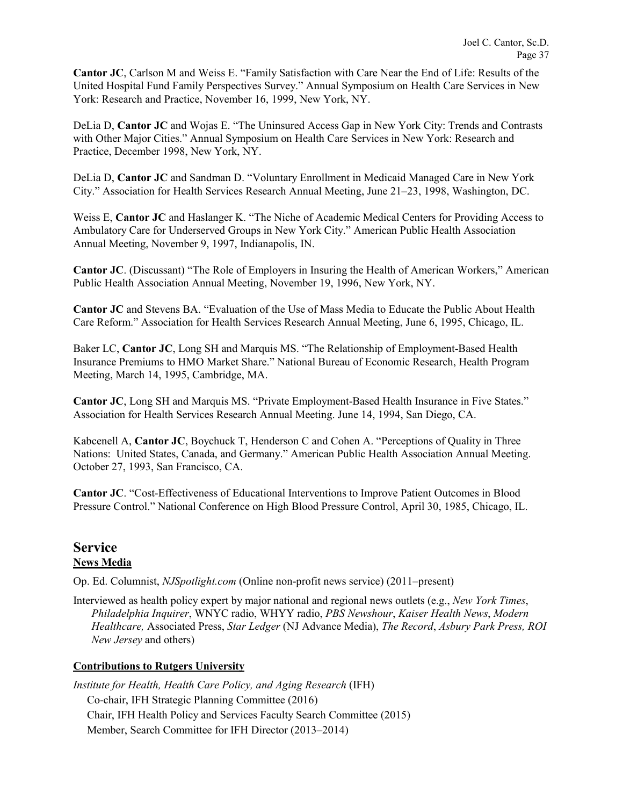**Cantor JC**, Carlson M and Weiss E. "Family Satisfaction with Care Near the End of Life: Results of the United Hospital Fund Family Perspectives Survey." Annual Symposium on Health Care Services in New York: Research and Practice, November 16, 1999, New York, NY.

DeLia D, **Cantor JC** and Wojas E. "The Uninsured Access Gap in New York City: Trends and Contrasts with Other Major Cities." Annual Symposium on Health Care Services in New York: Research and Practice, December 1998, New York, NY.

DeLia D, **Cantor JC** and Sandman D. "Voluntary Enrollment in Medicaid Managed Care in New York City." Association for Health Services Research Annual Meeting, June 21–23, 1998, Washington, DC.

Weiss E, **Cantor JC** and Haslanger K. "The Niche of Academic Medical Centers for Providing Access to Ambulatory Care for Underserved Groups in New York City." American Public Health Association Annual Meeting, November 9, 1997, Indianapolis, IN.

**Cantor JC**. (Discussant) "The Role of Employers in Insuring the Health of American Workers," American Public Health Association Annual Meeting, November 19, 1996, New York, NY.

**Cantor JC** and Stevens BA. "Evaluation of the Use of Mass Media to Educate the Public About Health Care Reform." Association for Health Services Research Annual Meeting, June 6, 1995, Chicago, IL.

Baker LC, **Cantor JC**, Long SH and Marquis MS. "The Relationship of Employment-Based Health Insurance Premiums to HMO Market Share." National Bureau of Economic Research, Health Program Meeting, March 14, 1995, Cambridge, MA.

**Cantor JC**, Long SH and Marquis MS. "Private Employment-Based Health Insurance in Five States." Association for Health Services Research Annual Meeting. June 14, 1994, San Diego, CA.

Kabcenell A, **Cantor JC**, Boychuck T, Henderson C and Cohen A. "Perceptions of Quality in Three Nations: United States, Canada, and Germany." American Public Health Association Annual Meeting. October 27, 1993, San Francisco, CA.

**Cantor JC**. "Cost-Effectiveness of Educational Interventions to Improve Patient Outcomes in Blood Pressure Control." National Conference on High Blood Pressure Control, April 30, 1985, Chicago, IL.

## **Service News Media**

Op. Ed. Columnist, *NJSpotlight.com* (Online non-profit news service) (2011–present)

Interviewed as health policy expert by major national and regional news outlets (e.g., *New York Times*, *Philadelphia Inquirer*, WNYC radio, WHYY radio, *PBS Newshour*, *Kaiser Health News*, *Modern Healthcare,* Associated Press, *Star Ledger* (NJ Advance Media), *The Record*, *Asbury Park Press, ROI New Jersey* and others)

### **Contributions to Rutgers University**

*Institute for Health, Health Care Policy, and Aging Research* (IFH) Co-chair, IFH Strategic Planning Committee (2016) Chair, IFH Health Policy and Services Faculty Search Committee (2015) Member, Search Committee for IFH Director (2013–2014)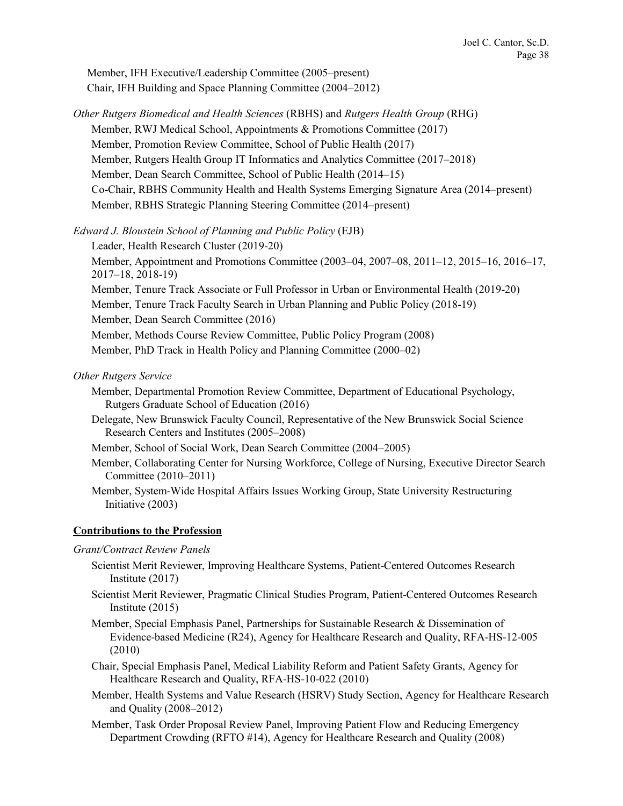Member, IFH Executive/Leadership Committee (2005–present) Chair, IFH Building and Space Planning Committee (2004–2012)

*Other Rutgers Biomedical and Health Sciences* (RBHS) and *Rutgers Health Group* (RHG) Member, RWJ Medical School, Appointments & Promotions Committee (2017) Member, Promotion Review Committee, School of Public Health (2017) Member, Rutgers Health Group IT Informatics and Analytics Committee (2017–2018) Member, Dean Search Committee, School of Public Health (2014–15) Co-Chair, RBHS Community Health and Health Systems Emerging Signature Area (2014–present) Member, RBHS Strategic Planning Steering Committee (2014–present)

*Edward J. Bloustein School of Planning and Public Policy* (EJB)

- Leader, Health Research Cluster (2019-20) Member, Appointment and Promotions Committee (2003–04, 2007–08, 2011–12, 2015–16, 2016–17, 2017–18, 2018-19) Member, Tenure Track Associate or Full Professor in Urban or Environmental Health (2019-20) Member, Tenure Track Faculty Search in Urban Planning and Public Policy (2018-19) Member, Dean Search Committee (2016) Member, Methods Course Review Committee, Public Policy Program (2008) Member, PhD Track in Health Policy and Planning Committee (2000–02)
- *Other Rutgers Service*
	- Member, Departmental Promotion Review Committee, Department of Educational Psychology, Rutgers Graduate School of Education (2016)
	- Delegate, New Brunswick Faculty Council, Representative of the New Brunswick Social Science Research Centers and Institutes (2005–2008)
	- Member, School of Social Work, Dean Search Committee (2004–2005)
	- Member, Collaborating Center for Nursing Workforce, College of Nursing, Executive Director Search Committee (2010–2011)
	- Member, System-Wide Hospital Affairs Issues Working Group, State University Restructuring Initiative (2003)

## **Contributions to the Profession**

### *Grant/Contract Review Panels*

- Scientist Merit Reviewer, Improving Healthcare Systems, Patient-Centered Outcomes Research Institute (2017)
- Scientist Merit Reviewer, Pragmatic Clinical Studies Program, Patient-Centered Outcomes Research Institute (2015)
- Member, Special Emphasis Panel, Partnerships for Sustainable Research & Dissemination of Evidence-based Medicine (R24), Agency for Healthcare Research and Quality, RFA-HS-12-005 (2010)
- Chair, Special Emphasis Panel, Medical Liability Reform and Patient Safety Grants, Agency for Healthcare Research and Quality, RFA-HS-10-022 (2010)
- Member, Health Systems and Value Research (HSRV) Study Section, Agency for Healthcare Research and Quality (2008–2012)
- Member, Task Order Proposal Review Panel, Improving Patient Flow and Reducing Emergency Department Crowding (RFTO #14), Agency for Healthcare Research and Quality (2008)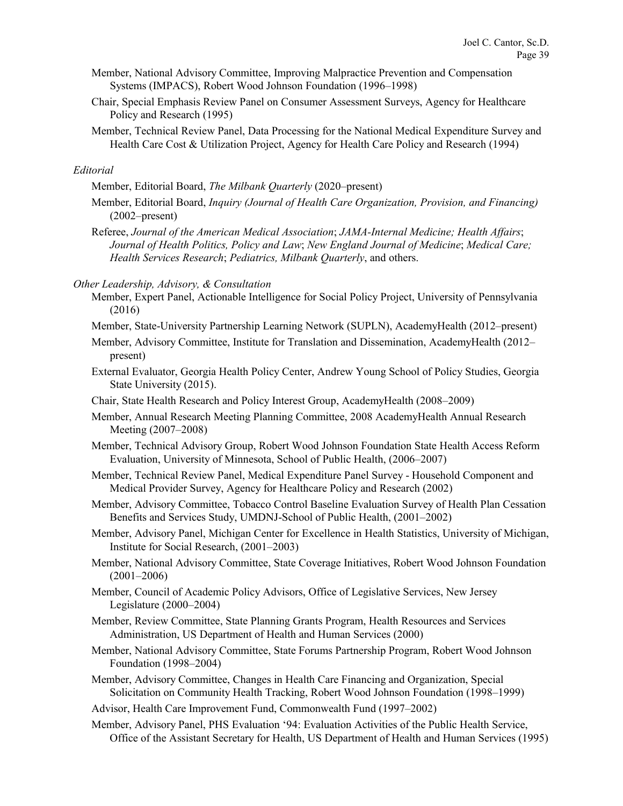- Member, National Advisory Committee, Improving Malpractice Prevention and Compensation Systems (IMPACS), Robert Wood Johnson Foundation (1996–1998)
- Chair, Special Emphasis Review Panel on Consumer Assessment Surveys, Agency for Healthcare Policy and Research (1995)
- Member, Technical Review Panel, Data Processing for the National Medical Expenditure Survey and Health Care Cost & Utilization Project, Agency for Health Care Policy and Research (1994)

#### *Editorial*

Member, Editorial Board, *The Milbank Quarterly* (2020–present)

- Member, Editorial Board, *Inquiry (Journal of Health Care Organization, Provision, and Financing)*  (2002–present)
- Referee, *Journal of the American Medical Association*; *JAMA-Internal Medicine; Health Affairs*; *Journal of Health Politics, Policy and Law*; *New England Journal of Medicine*; *Medical Care; Health Services Research*; *Pediatrics, Milbank Quarterly*, and others.

*Other Leadership, Advisory, & Consultation*

- Member, Expert Panel, Actionable Intelligence for Social Policy Project, University of Pennsylvania (2016)
- Member, State-University Partnership Learning Network (SUPLN), AcademyHealth (2012–present)
- Member, Advisory Committee, Institute for Translation and Dissemination, AcademyHealth (2012– present)
- External Evaluator, Georgia Health Policy Center, Andrew Young School of Policy Studies, Georgia State University (2015).
- Chair, State Health Research and Policy Interest Group, AcademyHealth (2008–2009)
- Member, Annual Research Meeting Planning Committee, 2008 AcademyHealth Annual Research Meeting (2007–2008)
- Member, Technical Advisory Group, Robert Wood Johnson Foundation State Health Access Reform Evaluation, University of Minnesota, School of Public Health, (2006–2007)
- Member, Technical Review Panel, Medical Expenditure Panel Survey Household Component and Medical Provider Survey, Agency for Healthcare Policy and Research (2002)
- Member, Advisory Committee, Tobacco Control Baseline Evaluation Survey of Health Plan Cessation Benefits and Services Study, UMDNJ-School of Public Health, (2001–2002)
- Member, Advisory Panel, Michigan Center for Excellence in Health Statistics, University of Michigan, Institute for Social Research, (2001–2003)
- Member, National Advisory Committee, State Coverage Initiatives, Robert Wood Johnson Foundation (2001–2006)
- Member, Council of Academic Policy Advisors, Office of Legislative Services, New Jersey Legislature (2000–2004)
- Member, Review Committee, State Planning Grants Program, Health Resources and Services Administration, US Department of Health and Human Services (2000)
- Member, National Advisory Committee, State Forums Partnership Program, Robert Wood Johnson Foundation (1998–2004)
- Member, Advisory Committee, Changes in Health Care Financing and Organization, Special Solicitation on Community Health Tracking, Robert Wood Johnson Foundation (1998–1999)
- Advisor, Health Care Improvement Fund, Commonwealth Fund (1997–2002)
- Member, Advisory Panel, PHS Evaluation '94: Evaluation Activities of the Public Health Service, Office of the Assistant Secretary for Health, US Department of Health and Human Services (1995)